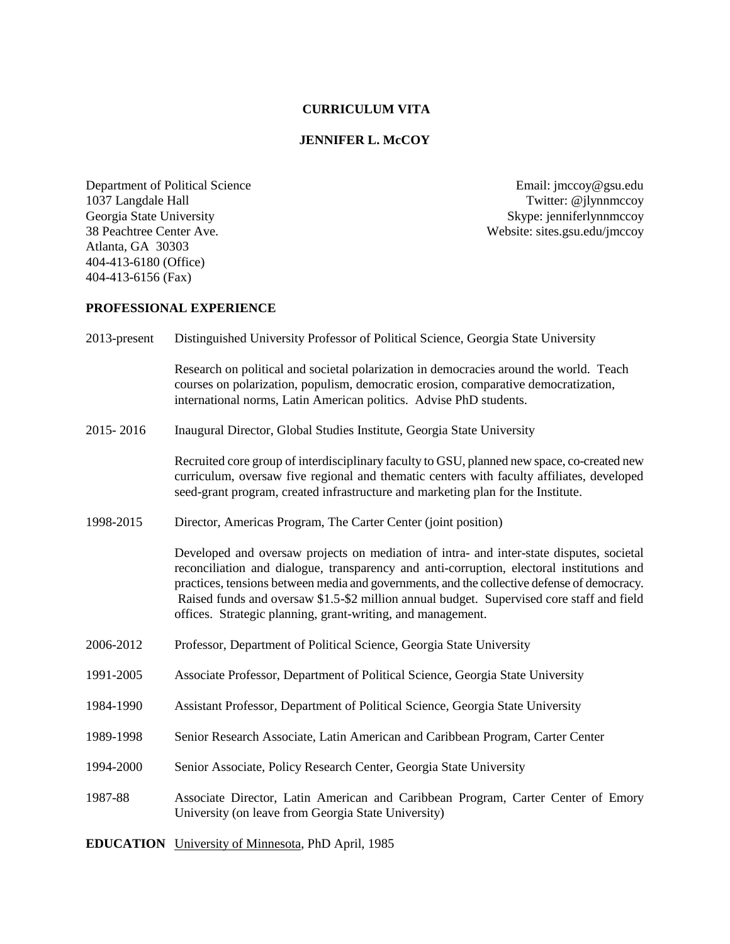# **CURRICULUM VITA**

## **JENNIFER L. McCOY**

Department of Political Science Email: jmccoy@gsu.edu<br>
1037 Langdale Hall Twitter: @jlynnmccoy 1037 Langdale Hall Twitter: @jlynnmccoy<br>
Georgia State University Skype: jenniferlynnmccoy<br>
Skype: jenniferlynnmccoy Georgia State University<br>
38 Peachtree Center Ave.<br>
38 Peachtree Center Ave.<br>
38 Peachtree Center Ave. Atlanta, GA 30303 404-413-6180 (Office) 404-413-6156 (Fax)

Website: sites.gsu.edu/jmccoy

# **PROFESSIONAL EXPERIENCE**

| 2013-present | Distinguished University Professor of Political Science, Georgia State University                                                                                                                                                                                                                                                                                                                                                                |  |
|--------------|--------------------------------------------------------------------------------------------------------------------------------------------------------------------------------------------------------------------------------------------------------------------------------------------------------------------------------------------------------------------------------------------------------------------------------------------------|--|
|              | Research on political and societal polarization in democracies around the world. Teach<br>courses on polarization, populism, democratic erosion, comparative democratization,<br>international norms, Latin American politics. Advise PhD students.                                                                                                                                                                                              |  |
| 2015-2016    | Inaugural Director, Global Studies Institute, Georgia State University                                                                                                                                                                                                                                                                                                                                                                           |  |
|              | Recruited core group of interdisciplinary faculty to GSU, planned new space, co-created new<br>curriculum, oversaw five regional and thematic centers with faculty affiliates, developed<br>seed-grant program, created infrastructure and marketing plan for the Institute.                                                                                                                                                                     |  |
| 1998-2015    | Director, Americas Program, The Carter Center (joint position)                                                                                                                                                                                                                                                                                                                                                                                   |  |
|              | Developed and oversaw projects on mediation of intra- and inter-state disputes, societal<br>reconciliation and dialogue, transparency and anti-corruption, electoral institutions and<br>practices, tensions between media and governments, and the collective defense of democracy.<br>Raised funds and oversaw \$1.5-\$2 million annual budget. Supervised core staff and field<br>offices. Strategic planning, grant-writing, and management. |  |
| 2006-2012    | Professor, Department of Political Science, Georgia State University                                                                                                                                                                                                                                                                                                                                                                             |  |
| 1991-2005    | Associate Professor, Department of Political Science, Georgia State University                                                                                                                                                                                                                                                                                                                                                                   |  |
| 1984-1990    | Assistant Professor, Department of Political Science, Georgia State University                                                                                                                                                                                                                                                                                                                                                                   |  |
| 1989-1998    | Senior Research Associate, Latin American and Caribbean Program, Carter Center                                                                                                                                                                                                                                                                                                                                                                   |  |
| 1994-2000    | Senior Associate, Policy Research Center, Georgia State University                                                                                                                                                                                                                                                                                                                                                                               |  |
| 1987-88      | Associate Director, Latin American and Caribbean Program, Carter Center of Emory<br>University (on leave from Georgia State University)                                                                                                                                                                                                                                                                                                          |  |
|              | <b>EDUCATION</b> University of Minnesota, PhD April, 1985                                                                                                                                                                                                                                                                                                                                                                                        |  |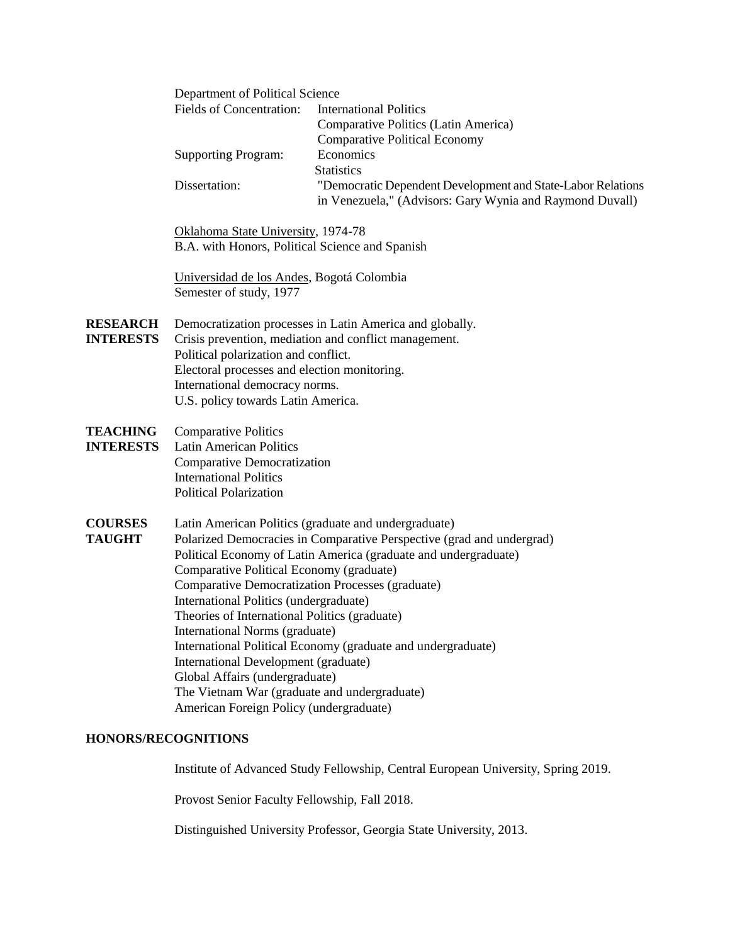|                                     | Department of Political Science<br><b>Fields of Concentration:</b>                                                                                                                                                                                                                                                                                                                                                                                                                                                                                                                                                                                                 | <b>International Politics</b><br>Comparative Politics (Latin America)<br><b>Comparative Political Economy</b>           |  |
|-------------------------------------|--------------------------------------------------------------------------------------------------------------------------------------------------------------------------------------------------------------------------------------------------------------------------------------------------------------------------------------------------------------------------------------------------------------------------------------------------------------------------------------------------------------------------------------------------------------------------------------------------------------------------------------------------------------------|-------------------------------------------------------------------------------------------------------------------------|--|
|                                     | <b>Supporting Program:</b>                                                                                                                                                                                                                                                                                                                                                                                                                                                                                                                                                                                                                                         | Economics<br><b>Statistics</b>                                                                                          |  |
|                                     | Dissertation:                                                                                                                                                                                                                                                                                                                                                                                                                                                                                                                                                                                                                                                      | "Democratic Dependent Development and State-Labor Relations<br>in Venezuela," (Advisors: Gary Wynia and Raymond Duvall) |  |
|                                     | Oklahoma State University, 1974-78<br>B.A. with Honors, Political Science and Spanish                                                                                                                                                                                                                                                                                                                                                                                                                                                                                                                                                                              |                                                                                                                         |  |
|                                     | Universidad de los Andes, Bogotá Colombia<br>Semester of study, 1977                                                                                                                                                                                                                                                                                                                                                                                                                                                                                                                                                                                               |                                                                                                                         |  |
| <b>RESEARCH</b><br><b>INTERESTS</b> | Democratization processes in Latin America and globally.<br>Crisis prevention, mediation and conflict management.<br>Political polarization and conflict.<br>Electoral processes and election monitoring.<br>International democracy norms.<br>U.S. policy towards Latin America.                                                                                                                                                                                                                                                                                                                                                                                  |                                                                                                                         |  |
| <b>TEACHING</b><br><b>INTERESTS</b> | <b>Comparative Politics</b><br><b>Latin American Politics</b><br><b>Comparative Democratization</b><br><b>International Politics</b><br><b>Political Polarization</b>                                                                                                                                                                                                                                                                                                                                                                                                                                                                                              |                                                                                                                         |  |
| <b>COURSES</b><br><b>TAUGHT</b>     | Latin American Politics (graduate and undergraduate)<br>Polarized Democracies in Comparative Perspective (grad and undergrad)<br>Political Economy of Latin America (graduate and undergraduate)<br>Comparative Political Economy (graduate)<br>Comparative Democratization Processes (graduate)<br>International Politics (undergraduate)<br>Theories of International Politics (graduate)<br>International Norms (graduate)<br>International Political Economy (graduate and undergraduate)<br>International Development (graduate)<br>Global Affairs (undergraduate)<br>The Vietnam War (graduate and undergraduate)<br>American Foreign Policy (undergraduate) |                                                                                                                         |  |
| <b>HONORS/RECOGNITIONS</b>          |                                                                                                                                                                                                                                                                                                                                                                                                                                                                                                                                                                                                                                                                    |                                                                                                                         |  |

Institute of Advanced Study Fellowship, Central European University, Spring 2019.

Provost Senior Faculty Fellowship, Fall 2018.

Distinguished University Professor, Georgia State University, 2013.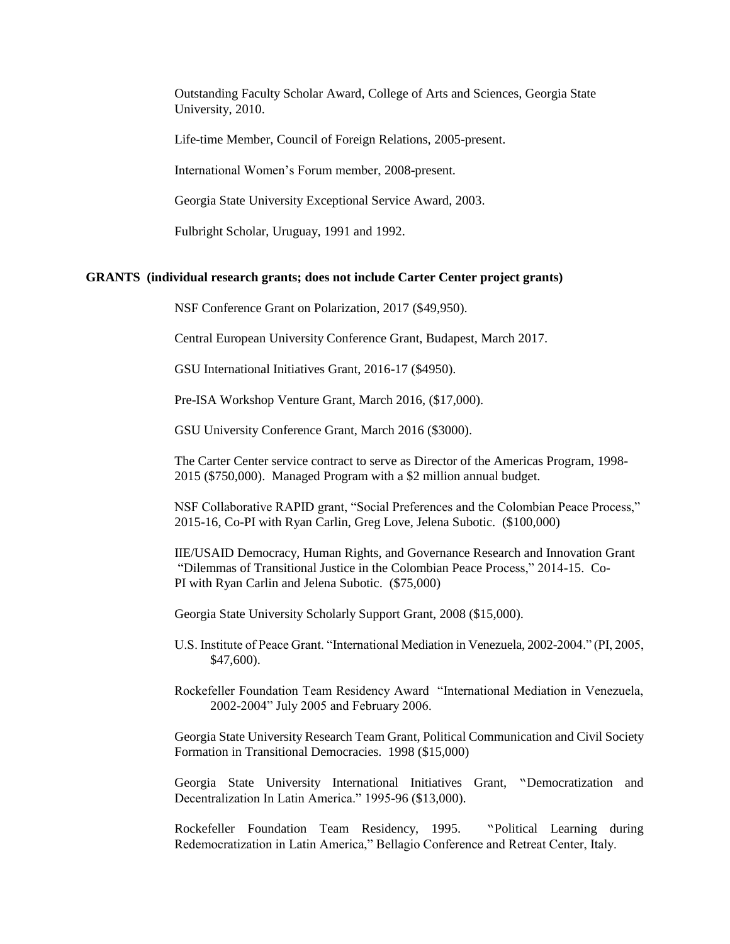Outstanding Faculty Scholar Award, College of Arts and Sciences, Georgia State University, 2010.

Life-time Member, Council of Foreign Relations, 2005-present.

International Women's Forum member, 2008-present.

Georgia State University Exceptional Service Award, 2003.

Fulbright Scholar, Uruguay, 1991 and 1992.

#### **GRANTS (individual research grants; does not include Carter Center project grants)**

NSF Conference Grant on Polarization, 2017 (\$49,950).

Central European University Conference Grant, Budapest, March 2017.

GSU International Initiatives Grant, 2016-17 (\$4950).

Pre-ISA Workshop Venture Grant, March 2016, (\$17,000).

GSU University Conference Grant, March 2016 (\$3000).

The Carter Center service contract to serve as Director of the Americas Program, 1998- 2015 (\$750,000). Managed Program with a \$2 million annual budget.

NSF Collaborative RAPID grant, "Social Preferences and the Colombian Peace Process," 2015-16, Co-PI with Ryan Carlin, Greg Love, Jelena Subotic. (\$100,000)

IIE/USAID Democracy, Human Rights, and Governance Research and Innovation Grant "Dilemmas of Transitional Justice in the Colombian Peace Process," 2014-15. Co-PI with Ryan Carlin and Jelena Subotic. (\$75,000)

Georgia State University Scholarly Support Grant, 2008 (\$15,000).

U.S. Institute of Peace Grant. "International Mediation in Venezuela, 2002-2004." (PI, 2005, \$47,600).

Rockefeller Foundation Team Residency Award "International Mediation in Venezuela, 2002-2004" July 2005 and February 2006.

Georgia State University Research Team Grant, Political Communication and Civil Society Formation in Transitional Democracies. 1998 (\$15,000)

Georgia State University International Initiatives Grant, "Democratization and Decentralization In Latin America." 1995-96 (\$13,000).

Rockefeller Foundation Team Residency, 1995. "Political Learning during Redemocratization in Latin America," Bellagio Conference and Retreat Center, Italy.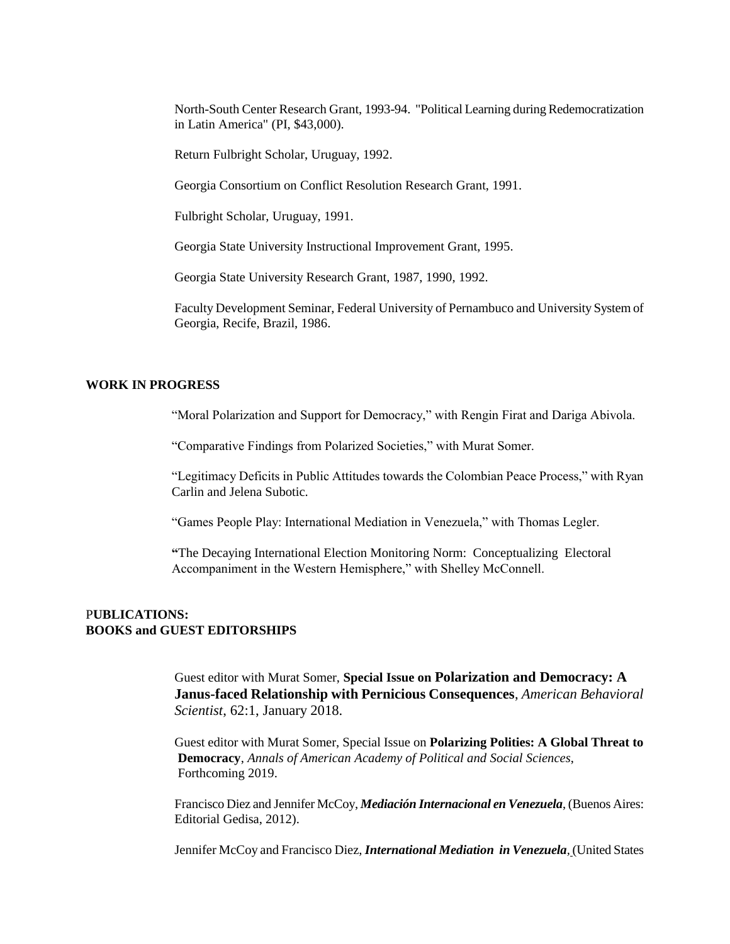North-South Center Research Grant, 1993-94. "Political Learning during Redemocratization in Latin America" (PI, \$43,000).

Return Fulbright Scholar, Uruguay, 1992.

Georgia Consortium on Conflict Resolution Research Grant, 1991.

Fulbright Scholar, Uruguay, 1991.

Georgia State University Instructional Improvement Grant, 1995.

Georgia State University Research Grant, 1987, 1990, 1992.

Faculty Development Seminar, Federal University of Pernambuco and University System of Georgia, Recife, Brazil, 1986.

#### **WORK IN PROGRESS**

"Moral Polarization and Support for Democracy," with Rengin Firat and Dariga Abivola.

"Comparative Findings from Polarized Societies," with Murat Somer.

"Legitimacy Deficits in Public Attitudes towards the Colombian Peace Process," with Ryan Carlin and Jelena Subotic.

"Games People Play: International Mediation in Venezuela," with Thomas Legler.

**"**The Decaying International Election Monitoring Norm: Conceptualizing Electoral Accompaniment in the Western Hemisphere," with Shelley McConnell.

## P**UBLICATIONS: BOOKS and GUEST EDITORSHIPS**

Guest editor with Murat Somer, **Special Issue on Polarization and Democracy: A Janus-faced Relationship with Pernicious Consequences**, *American Behavioral Scientist*, 62:1, January 2018.

 Guest editor with Murat Somer, Special Issue on **Polarizing Polities: A Global Threat to Democracy**, *Annals of American Academy of Political and Social Sciences*, Forthcoming 2019.

Francisco Diez and Jennifer McCoy, *Mediación Internacional en Venezuela*, (Buenos Aires: Editorial Gedisa, 2012).

Jennifer McCoy and Francisco Diez, *International Mediation in Venezuela,* (United States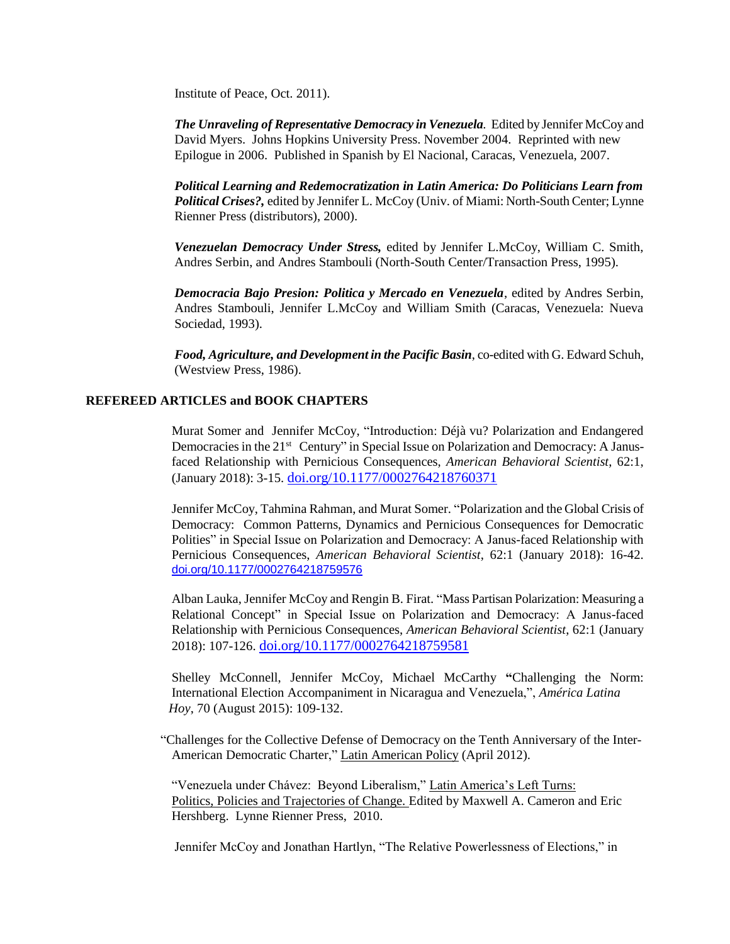Institute of Peace, Oct. 2011).

*The Unraveling of Representative Democracy in Venezuela.* Edited by Jennifer McCoy and David Myers. Johns Hopkins University Press. November 2004. Reprinted with new Epilogue in 2006. Published in Spanish by El Nacional, Caracas, Venezuela, 2007.

*Political Learning and Redemocratization in Latin America: Do Politicians Learn from Political Crises?,* edited by Jennifer L. McCoy (Univ. of Miami: North-South Center; Lynne Rienner Press (distributors), 2000).

*Venezuelan Democracy Under Stress,* edited by Jennifer L.McCoy, William C. Smith, Andres Serbin, and Andres Stambouli (North-South Center/Transaction Press, 1995).

 *Democracia Bajo Presion: Politica y Mercado en Venezuela*, edited by Andres Serbin, Andres Stambouli, Jennifer L.McCoy and William Smith (Caracas, Venezuela: Nueva Sociedad, 1993).

*Food, Agriculture, and Development in the Pacific Basin*, co-edited with G. Edward Schuh, (Westview Press, 1986).

## **REFEREED ARTICLES and BOOK CHAPTERS**

Murat Somer and Jennifer McCoy, "Introduction: Déjà vu? Polarization and Endangered Democracies in the 21<sup>st</sup> Century" in Special Issue on Polarization and Democracy: A Janusfaced Relationship with Pernicious Consequences, *American Behavioral Scientist*, 62:1, (January 2018): 3-15. [doi.org/10.1177/0002764218760371](https://doi-org.ezproxy.gsu.edu/10.1177%2F0002764218760371)

Jennifer McCoy, Tahmina Rahman, and Murat Somer. "Polarization and the Global Crisis of Democracy: Common Patterns, Dynamics and Pernicious Consequences for Democratic Polities" in Special Issue on Polarization and Democracy: A Janus-faced Relationship with Pernicious Consequences, *American Behavioral Scientist*, 62:1 (January 2018): 16-42. [doi.org/10.1177/0002764218759576](https://na01.safelinks.protection.outlook.com/?url=http%3A%2F%2Fdx.doi.org%2F10.1177%2F0002764218759576&data=02%7C01%7Cjmccoy%40gsu.edu%7C62fe1a31ec2640056c2708d590817153%7C515ad73d8d5e4169895c9789dc742a70%7C0%7C0%7C636573808650429915&sdata=PJR%2BNrSafkf%2F%2BDM8EixsFoXGxysD3WpwMJznciA9Hcw%3D&reserved=0)

Alban Lauka, Jennifer McCoy and Rengin B. Firat. "Mass Partisan Polarization: Measuring a Relational Concept" in Special Issue on Polarization and Democracy: A Janus-faced Relationship with Pernicious Consequences, *American Behavioral Scientist*, 62:1 (January 2018): 107-126. [doi.org/10.1177/0002764218759581](https://doi-org.ezproxy.gsu.edu/10.1177/0002764218759581)

Shelley McConnell, Jennifer McCoy, Michael McCarthy **"**Challenging the Norm: International Election Accompaniment in Nicaragua and Venezuela,", *América Latina Hoy*, 70 (August 2015): 109-132.

"Challenges for the Collective Defense of Democracy on the Tenth Anniversary of the Inter-American Democratic Charter," Latin American Policy (April 2012).

"Venezuela under Chávez: Beyond Liberalism," Latin America's Left Turns: Politics, Policies and Trajectories of Change. Edited by Maxwell A. Cameron and Eric Hershberg. Lynne Rienner Press, 2010.

Jennifer McCoy and Jonathan Hartlyn, "The Relative Powerlessness of Elections," in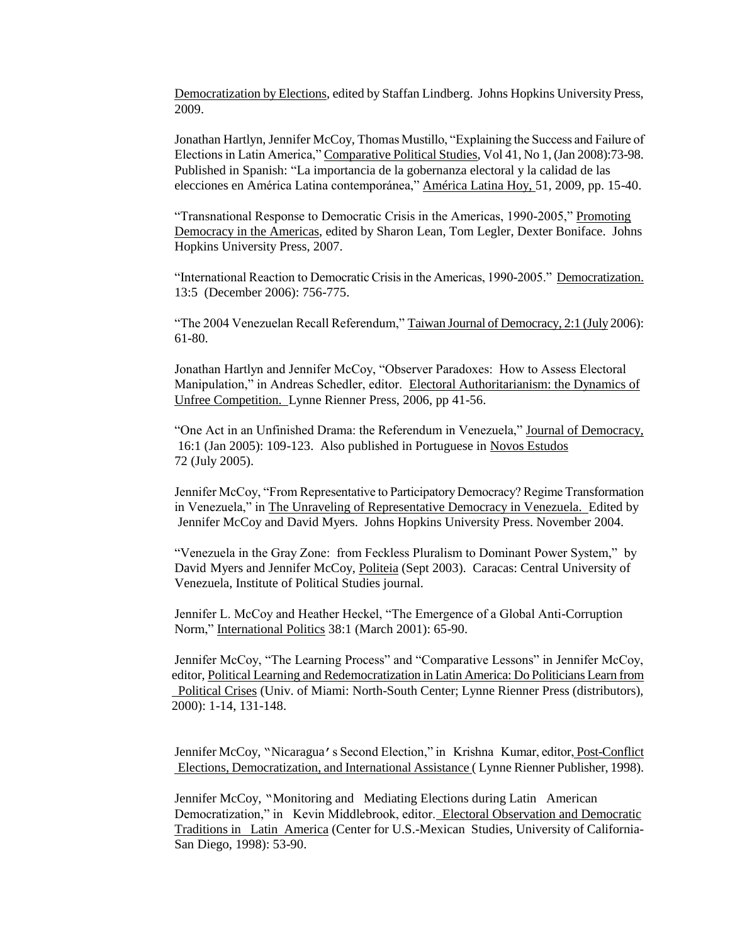Democratization by Elections, edited by Staffan Lindberg. Johns Hopkins University Press, 2009.

Jonathan Hartlyn, Jennifer McCoy, Thomas Mustillo, "Explaining the Success and Failure of Elections in Latin America," Comparative Political Studies, Vol 41, No 1, (Jan 2008):73-98. Published in Spanish: "La importancia de la gobernanza electoral y la calidad de las elecciones en América Latina contemporánea," América Latina Hoy, 51, 2009, pp. 15-40.

"Transnational Response to Democratic Crisis in the Americas, 1990-2005," Promoting Democracy in the Americas, edited by Sharon Lean, Tom Legler, Dexter Boniface. Johns Hopkins University Press, 2007.

"International Reaction to Democratic Crisis in the Americas, 1990-2005." Democratization. 13:5 (December 2006): 756-775.

"The 2004 Venezuelan Recall Referendum," Taiwan Journal of Democracy, 2:1 (July 2006): 61-80.

Jonathan Hartlyn and Jennifer McCoy, "Observer Paradoxes: How to Assess Electoral Manipulation," in Andreas Schedler, editor. Electoral Authoritarianism: the Dynamics of Unfree Competition. Lynne Rienner Press, 2006, pp 41-56.

"One Act in an Unfinished Drama: the Referendum in Venezuela," Journal of Democracy, 16:1 (Jan 2005): 109-123. Also published in Portuguese in Novos Estudos 72 (July 2005).

Jennifer McCoy, "From Representative to Participatory Democracy? Regime Transformation in Venezuela," in The Unraveling of Representative Democracy in Venezuela. Edited by Jennifer McCoy and David Myers. Johns Hopkins University Press. November 2004.

"Venezuela in the Gray Zone: from Feckless Pluralism to Dominant Power System," by David Myers and Jennifer McCoy, Politeia (Sept 2003). Caracas: Central University of Venezuela, Institute of Political Studies journal.

Jennifer L. McCoy and Heather Heckel, "The Emergence of a Global Anti-Corruption Norm," International Politics 38:1 (March 2001): 65-90.

Jennifer McCoy, "The Learning Process" and "Comparative Lessons" in Jennifer McCoy, editor, Political Learning and Redemocratization in Latin America: Do Politicians Learn from Political Crises (Univ. of Miami: North-South Center; Lynne Rienner Press (distributors), 2000): 1-14, 131-148.

Jennifer McCoy, "Nicaragua's Second Election," in Krishna Kumar, editor, Post-Conflict Elections, Democratization, and International Assistance ( Lynne Rienner Publisher, 1998).

Jennifer McCoy, "Monitoring and Mediating Elections during Latin American Democratization," in Kevin Middlebrook, editor. Electoral Observation and Democratic Traditions in Latin America (Center for U.S.-Mexican Studies, University of California-San Diego, 1998): 53-90.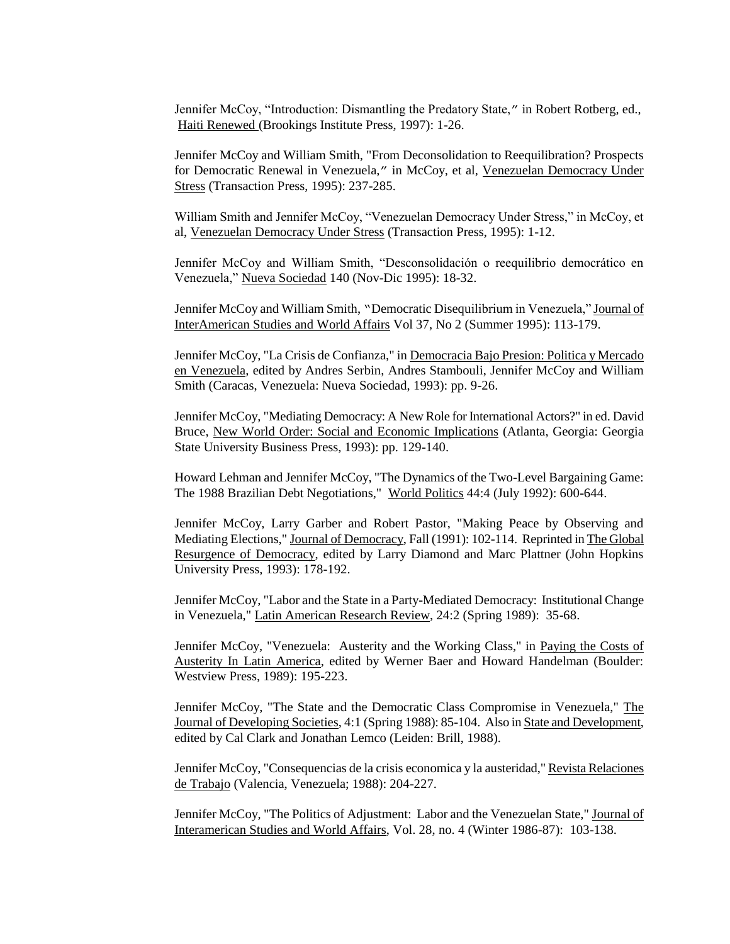Jennifer McCoy, "Introduction: Dismantling the Predatory State," in Robert Rotberg, ed., Haiti Renewed (Brookings Institute Press, 1997): 1-26.

Jennifer McCoy and William Smith, "From Deconsolidation to Reequilibration? Prospects for Democratic Renewal in Venezuela," in McCoy, et al, Venezuelan Democracy Under Stress (Transaction Press, 1995): 237-285.

William Smith and Jennifer McCoy, "Venezuelan Democracy Under Stress," in McCoy, et al, Venezuelan Democracy Under Stress (Transaction Press, 1995): 1-12.

Jennifer McCoy and William Smith, "Desconsolidación o reequilibrio democrático en Venezuela," Nueva Sociedad 140 (Nov-Dic 1995): 18-32.

Jennifer McCoy and William Smith, "Democratic Disequilibrium in Venezuela," Journal of InterAmerican Studies and World Affairs Vol 37, No 2 (Summer 1995): 113-179.

Jennifer McCoy, "La Crisis de Confianza," in Democracia Bajo Presion: Politica y Mercado en Venezuela, edited by Andres Serbin, Andres Stambouli, Jennifer McCoy and William Smith (Caracas, Venezuela: Nueva Sociedad, 1993): pp. 9-26.

Jennifer McCoy, "Mediating Democracy: A New Role for International Actors?" in ed. David Bruce, New World Order: Social and Economic Implications (Atlanta, Georgia: Georgia State University Business Press, 1993): pp. 129-140.

Howard Lehman and Jennifer McCoy, "The Dynamics of the Two-Level Bargaining Game: The 1988 Brazilian Debt Negotiations," World Politics 44:4 (July 1992): 600-644.

Jennifer McCoy, Larry Garber and Robert Pastor, "Making Peace by Observing and Mediating Elections," Journal of Democracy, Fall (1991): 102-114. Reprinted in The Global Resurgence of Democracy, edited by Larry Diamond and Marc Plattner (John Hopkins University Press, 1993): 178-192.

Jennifer McCoy, "Labor and the State in a Party-Mediated Democracy: Institutional Change in Venezuela," Latin American Research Review, 24:2 (Spring 1989): 35-68.

Jennifer McCoy, "Venezuela: Austerity and the Working Class," in Paying the Costs of Austerity In Latin America, edited by Werner Baer and Howard Handelman (Boulder: Westview Press, 1989): 195-223.

Jennifer McCoy, "The State and the Democratic Class Compromise in Venezuela," The Journal of Developing Societies, 4:1 (Spring 1988): 85-104. Also in State and Development, edited by Cal Clark and Jonathan Lemco (Leiden: Brill, 1988).

Jennifer McCoy, "Consequencias de la crisis economica y la austeridad," Revista Relaciones de Trabajo (Valencia, Venezuela; 1988): 204-227.

Jennifer McCoy, "The Politics of Adjustment: Labor and the Venezuelan State," Journal of Interamerican Studies and World Affairs, Vol. 28, no. 4 (Winter 1986-87): 103-138.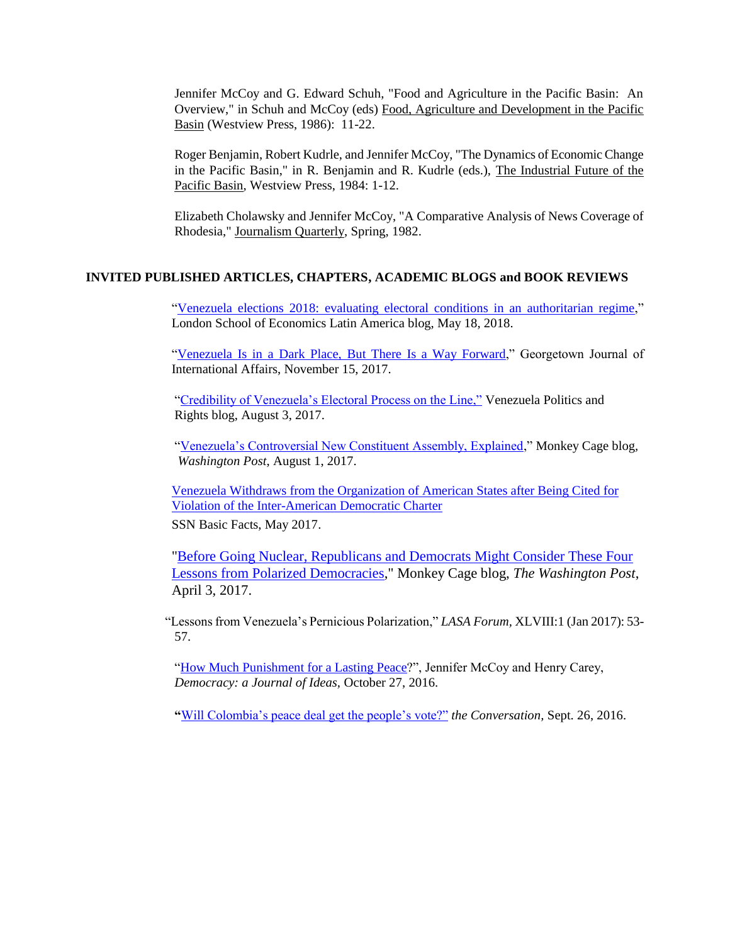Jennifer McCoy and G. Edward Schuh, "Food and Agriculture in the Pacific Basin: An Overview," in Schuh and McCoy (eds) Food, Agriculture and Development in the Pacific Basin (Westview Press, 1986): 11-22.

Roger Benjamin, Robert Kudrle, and Jennifer McCoy, "The Dynamics of Economic Change in the Pacific Basin," in R. Benjamin and R. Kudrle (eds.), The Industrial Future of the Pacific Basin, Westview Press, 1984: 1-12.

Elizabeth Cholawsky and Jennifer McCoy, "A Comparative Analysis of News Coverage of Rhodesia," Journalism Quarterly, Spring, 1982.

#### **INVITED PUBLISHED ARTICLES, CHAPTERS, ACADEMIC BLOGS and BOOK REVIEWS**

["Venezuela elections 2018: evaluating electoral conditions in an authoritarian regime,](http://blogs.lse.ac.uk/latamcaribbean/2018/05/18/venezuela-elections-2018-evaluating-electoral-conditions-in-an-authoritarian-regime/)" London School of Economics Latin America blog, May 18, 2018.

["Venezuela Is in a Dark Place, But There](https://www.georgetownjournalofinternationalaffairs.org/online-edition/2017/11/14/venezuela-is-in-a-dark-place-but-there-are-ways-forward) Is a Way Forward," Georgetown Journal of International Affairs, November 15, 2017.

["Credibility of Venezuela's Electoral Process on the Line,"](https://venezuelablog.org/credibility-venezuelas-electoral-process-line/) Venezuela Politics and Rights blog, August 3, 2017.

["Venezuela's Controversial New Constituent Assembly, Explained,](Washington%20Post%20Monkey%20Cage%20blog%20https:/www.washingtonpost.com/news/monkey-cage/wp/2017/08/01/venezuelas-dubious-new-constituent-assembly-explained/?utm_term=.a462667d51e4#comments)" Monkey Cage blog*, Washington Post*, August 1, 2017.

[Venezuela Withdraws from the Organization of American States after Being Cited for](http://www.scholarsstrategynetwork.org/brief/venezuela-withdraws-organization-american-states-after-being-cited-violation-inter-american)  [Violation of the Inter-American Democratic Charter](http://www.scholarsstrategynetwork.org/brief/venezuela-withdraws-organization-american-states-after-being-cited-violation-inter-american) SSN Basic Facts, May 2017.

["Before Going Nuclear, Republicans and Democrats Might Consider These Four](https://www.washingtonpost.com/news/monkey-cage/wp/2017/04/03/before-going-nuclear-republicans-and-democrats-might-consider-these-four-lessons-from-polarized-democracies/)  [Lessons from Polarized Democracies,](https://www.washingtonpost.com/news/monkey-cage/wp/2017/04/03/before-going-nuclear-republicans-and-democrats-might-consider-these-four-lessons-from-polarized-democracies/)" Monkey Cage blog, *The Washington Post*, April 3, 2017.

"Lessons from Venezuela's Pernicious Polarization," *LASA Forum,* XLVIII:1 (Jan 2017): 53- 57.

["How Much Punishment for a Lasting Peace?](http://democracyjournal.org/arguments/how-much-punishment-for-a-lasting-peace/)", Jennifer McCoy and Henry Carey, *Democracy: a Journal of Ideas,* October 27, 2016.

**"**[Will Colombia's peace deal get the people's](https://theconversation.com/will-colombias-peace-deal-get-the-peoples-vote-65923) vote?" *the Conversation,* Sept. 26, 2016.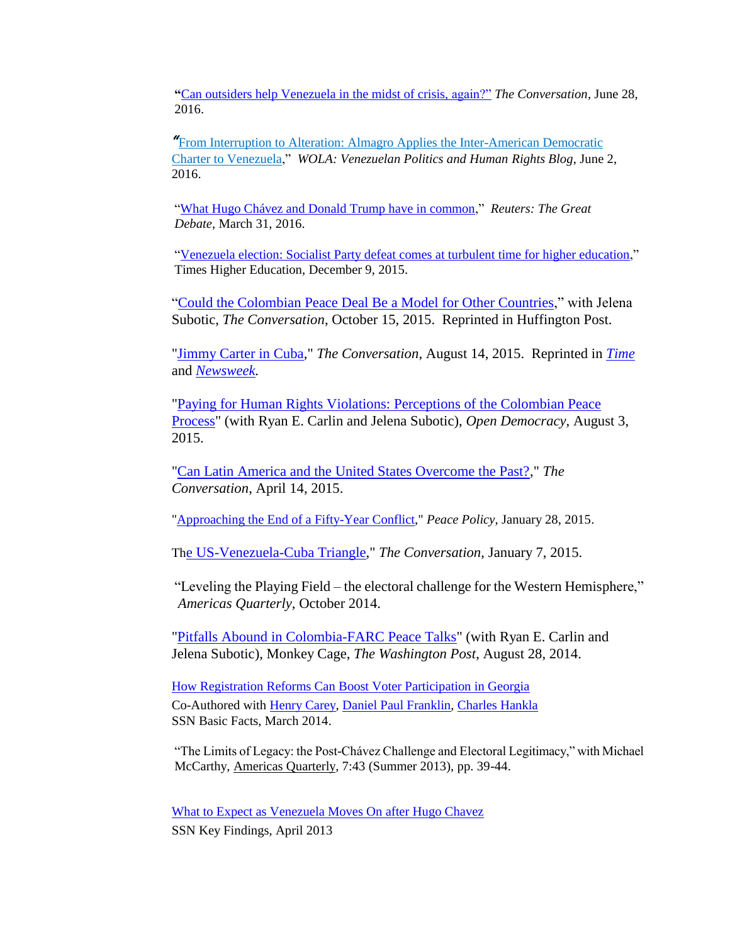**"**[Can outsiders help Venezuela in the midst of crisis,](https://theconversation.com/can-outsiders-help-venezuela-in-the-midst-of-crisis-again-60426) again?" *The Conversation*, June 28, 2016.

*"*[From Interruption to Alteration: Almagro Applies the Inter-American Democratic](http://venezuelablog.tumblr.com/post/145308611204/from-interruption-to-alteration-almagro-applies)  [Charter to Venezuela,](http://venezuelablog.tumblr.com/post/145308611204/from-interruption-to-alteration-almagro-applies)" *WOLA: Venezuelan Politics and Human Rights Blog*, June 2, 2016.

["What Hugo Chávez and Donald Trump have in common,](http://blogs.reuters.com/great-debate/2016/03/31/what-hugo-chavez-and-donald-trump-have-in-common/)" *Reuters: The Great Debate*, March 31, 2016.

["Venezuela election: Socialist Party defeat comes at turbulent time for higher education,](https://www.timeshighereducation.com/blog/venezuela-election-socialist-party-defeat-comes-turbulent-time-higher-education)" Times Higher Education, December 9, 2015.

["Could the Colombian Peace Deal Be a Model for Other Countries,](https://theconversation.com/could-the-peace-deal-in-colombia-be-a-model-for-other-conflicts-48564)" with Jelena Subotic, *The Conversation*, October 15, 2015. Reprinted in Huffington Post.

["Jimmy Carter in Cuba,](https://theconversation.com/jimmy-carter-in-cuba-46109)" *The Conversation*, August 14, 2015. Reprinted in *[Time](http://time.com/3998306/us-embassy-cuba-jimmy-carter/)* and *[Newsweek.](http://www.newsweek.com/how-carter-paved-way-cuba-breakthrough-363199)*

["Paying for Human Rights Violations: Perceptions of the Colombian Peace](https://opendemocracy.net/openglobalrights/ryan-e-carlin-jennifer-l-mccoy-jelena-subotic/paying-for-human-rights-violations-pe)  [Process"](https://opendemocracy.net/openglobalrights/ryan-e-carlin-jennifer-l-mccoy-jelena-subotic/paying-for-human-rights-violations-pe) (with Ryan E. Carlin and Jelena Subotic), *Open Democracy*, August 3, 2015.

["Can Latin America and the United States Overcome the Past?,](http://theconversation.com/can-latin-america-and-the-united-states-overcome-the-past-40125)" *The Conversation*, April 14, 2015.

["Approaching the End of a Fifty-Year Conflict,](http://peacepolicy.nd.edu/2015/01/28/approaching-the-end-of-a-fifty-year-conflict/#more-2097)" *Peace Policy*, January 28, 2015.

Th[e US-Venezuela-Cuba Triangle,](https://theconversation.com/the-us-venezuela-cuba-triangle-35745)" *The Conversation*, January 7, 2015.

"Leveling the Playing Field – the electoral challenge for the Western Hemisphere," *Americas Quarterly,* October 2014.

["Pitfalls Abound in Colombia-FARC Peace Talks"](http://www.washingtonpost.com/blogs/monkey-cage/wp/2014/08/28/pitfalls-abound-in-colombia-farc-peace-talks/) (with Ryan E. Carlin and Jelena Subotic), Monkey Cage, *The Washington Post*, August 28, 2014.

How [Registration Reforms Can Boost Voter Participation in Georgia](http://www.scholarsstrategynetwork.org/brief/how-registration-reforms-can-boost-voter-participation-georgia) Co-Authored with [Henry Carey,](http://www.scholarsstrategynetwork.org/scholar/henry-carey) [Daniel Paul Franklin,](http://www.scholarsstrategynetwork.org/scholar/daniel-paul-franklin) [Charles Hankla](http://www.scholarsstrategynetwork.org/scholar/charles-hankla) SSN Basic Facts, March 2014.

"The Limits of Legacy: the Post-Chávez Challenge and Electoral Legitimacy," with Michael McCarthy, Americas Quarterly, 7:43 (Summer 2013), pp. 39-44.

[What to Expect as Venezuela Moves On after Hugo Chavez](http://www.scholarsstrategynetwork.org/brief/what-expect-venezuela-moves-after-hugo-chavez) SSN Key Findings, April 2013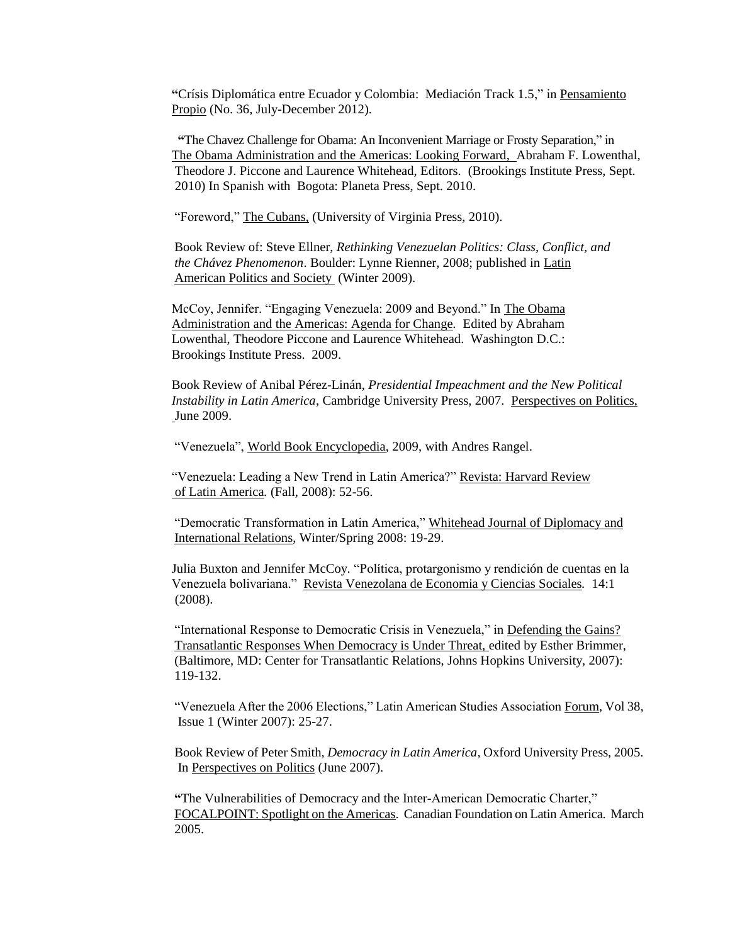**"**Crísis Diplomática entre Ecuador y Colombia: Mediación Track 1.5," in Pensamiento Propio (No. 36, July-December 2012).

 **"**The Chavez Challenge for Obama: An Inconvenient Marriage or Frosty Separation," in The Obama Administration and the Americas: Looking Forward, Abraham F. Lowenthal, Theodore J. Piccone and Laurence Whitehead, Editors. (Brookings Institute Press, Sept. 2010) In Spanish with Bogota: Planeta Press, Sept. 2010.

"Foreword," The Cubans, (University of Virginia Press, 2010).

Book Review of: Steve Ellner, *Rethinking Venezuelan Politics: Class, Conflict, and the Chávez Phenomenon*. Boulder: Lynne Rienner, 2008; published in Latin American Politics and Society (Winter 2009).

McCoy, Jennifer. "Engaging Venezuela: 2009 and Beyond." In The Obama Administration and the Americas: Agenda for Change*.* Edited by Abraham Lowenthal, Theodore Piccone and Laurence Whitehead. Washington D.C.: Brookings Institute Press. 2009.

Book Review of Anibal Pérez-Linán, *Presidential Impeachment and the New Political Instability in Latin America*, Cambridge University Press, 2007. Perspectives on Politics, June 2009.

"Venezuela", World Book Encyclopedia, 2009, with Andres Rangel.

"Venezuela: Leading a New Trend in Latin America?" Revista: Harvard Review of Latin America*.* (Fall, 2008): 52-56.

"Democratic Transformation in Latin America," Whitehead Journal of Diplomacy and International Relations, Winter/Spring 2008: 19-29.

Julia Buxton and Jennifer McCoy. "Política, protargonismo y rendición de cuentas en la Venezuela bolivariana." Revista Venezolana de Economia y Ciencias Sociales*.* 14:1 (2008).

"International Response to Democratic Crisis in Venezuela," in Defending the Gains? Transatlantic Responses When Democracy is Under Threat, edited by Esther Brimmer, (Baltimore, MD: Center for Transatlantic Relations, Johns Hopkins University, 2007): 119-132.

"Venezuela After the 2006 Elections," Latin American Studies Association Forum, Vol 38, Issue 1 (Winter 2007): 25-27.

Book Review of Peter Smith, *Democracy in Latin America*, Oxford University Press, 2005. In Perspectives on Politics (June 2007).

**"**The Vulnerabilities of Democracy and the Inter-American Democratic Charter," FOCALPOINT: Spotlight on the Americas. Canadian Foundation on Latin America. March 2005.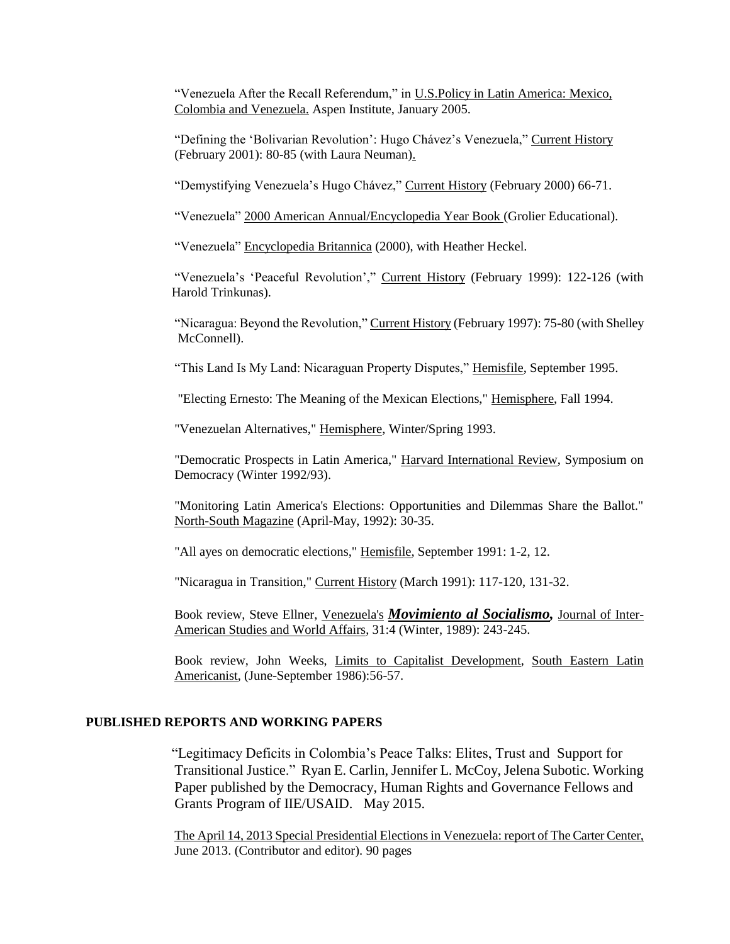"Venezuela After the Recall Referendum," in U.S.Policy in Latin America: Mexico, Colombia and Venezuela. Aspen Institute, January 2005.

"Defining the 'Bolivarian Revolution': Hugo Chávez's Venezuela," Current History (February 2001): 80-85 (with Laura Neuman).

"Demystifying Venezuela's Hugo Chávez," Current History (February 2000) 66-71.

"Venezuela" 2000 American Annual/Encyclopedia Year Book (Grolier Educational).

"Venezuela" Encyclopedia Britannica (2000), with Heather Heckel.

"Venezuela's 'Peaceful Revolution'," Current History (February 1999): 122-126 (with Harold Trinkunas).

"Nicaragua: Beyond the Revolution," Current History (February 1997): 75-80 (with Shelley McConnell).

"This Land Is My Land: Nicaraguan Property Disputes," Hemisfile, September 1995.

"Electing Ernesto: The Meaning of the Mexican Elections," Hemisphere, Fall 1994.

"Venezuelan Alternatives," Hemisphere, Winter/Spring 1993.

"Democratic Prospects in Latin America," Harvard International Review, Symposium on Democracy (Winter 1992/93).

"Monitoring Latin America's Elections: Opportunities and Dilemmas Share the Ballot." North-South Magazine (April-May, 1992): 30-35.

"All ayes on democratic elections," Hemisfile, September 1991: 1-2, 12.

"Nicaragua in Transition," Current History (March 1991): 117-120, 131-32.

Book review, Steve Ellner, Venezuela's *Movimiento al Socialismo,* Journal of Inter-American Studies and World Affairs, 31:4 (Winter, 1989): 243-245.

Book review, John Weeks, Limits to Capitalist Development, South Eastern Latin Americanist, (June-September 1986):56-57.

## **PUBLISHED REPORTS AND WORKING PAPERS**

"Legitimacy Deficits in Colombia's Peace Talks: Elites, Trust and Support for Transitional Justice." Ryan E. Carlin, Jennifer L. McCoy, Jelena Subotic. Working Paper published by the Democracy, Human Rights and Governance Fellows and Grants Program of IIE/USAID. May 2015.

The April 14, 2013 Special Presidential Elections in Venezuela: report of The Carter Center, June 2013. (Contributor and editor). 90 pages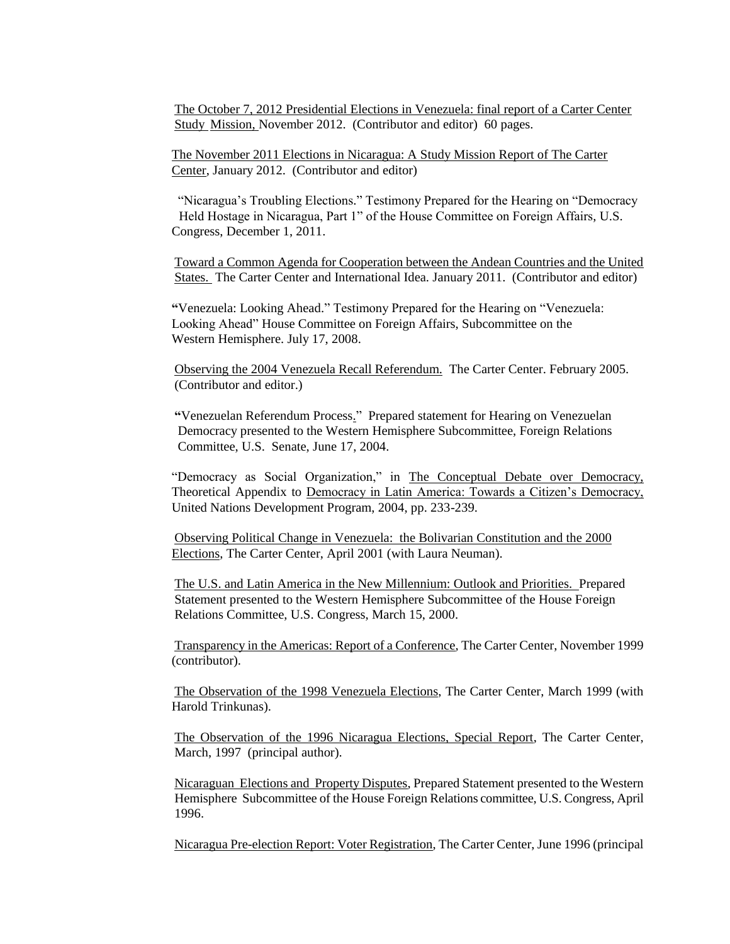The October 7, 2012 Presidential Elections in Venezuela: final report of a Carter Center Study Mission, November 2012. (Contributor and editor) 60 pages.

The November 2011 Elections in Nicaragua: A Study Mission Report of The Carter Center, January 2012. (Contributor and editor)

"Nicaragua's Troubling Elections." Testimony Prepared for the Hearing on "Democracy Held Hostage in Nicaragua, Part 1" of the House Committee on Foreign Affairs, U.S. Congress, December 1, 2011.

Toward a Common Agenda for Cooperation between the Andean Countries and the United States. The Carter Center and International Idea. January 2011. (Contributor and editor)

**"**Venezuela: Looking Ahead." Testimony Prepared for the Hearing on "Venezuela: Looking Ahead" House Committee on Foreign Affairs, Subcommittee on the Western Hemisphere. July 17, 2008.

Observing the 2004 Venezuela Recall Referendum. The Carter Center. February 2005. (Contributor and editor.)

**"**Venezuelan Referendum Process." Prepared statement for Hearing on Venezuelan Democracy presented to the Western Hemisphere Subcommittee, Foreign Relations Committee, U.S. Senate, June 17, 2004.

"Democracy as Social Organization," in The Conceptual Debate over Democracy, Theoretical Appendix to Democracy in Latin America: Towards a Citizen's Democracy, United Nations Development Program, 2004, pp. 233-239.

Observing Political Change in Venezuela: the Bolivarian Constitution and the 2000 Elections, The Carter Center, April 2001 (with Laura Neuman).

The U.S. and Latin America in the New Millennium: Outlook and Priorities. Prepared Statement presented to the Western Hemisphere Subcommittee of the House Foreign Relations Committee, U.S. Congress, March 15, 2000.

Transparency in the Americas: Report of a Conference, The Carter Center, November 1999 (contributor).

The Observation of the 1998 Venezuela Elections, The Carter Center, March 1999 (with Harold Trinkunas).

The Observation of the 1996 Nicaragua Elections, Special Report, The Carter Center, March, 1997 (principal author).

Nicaraguan Elections and Property Disputes, Prepared Statement presented to the Western Hemisphere Subcommittee of the House Foreign Relations committee, U.S. Congress, April 1996.

Nicaragua Pre-election Report: Voter Registration, The Carter Center, June 1996 (principal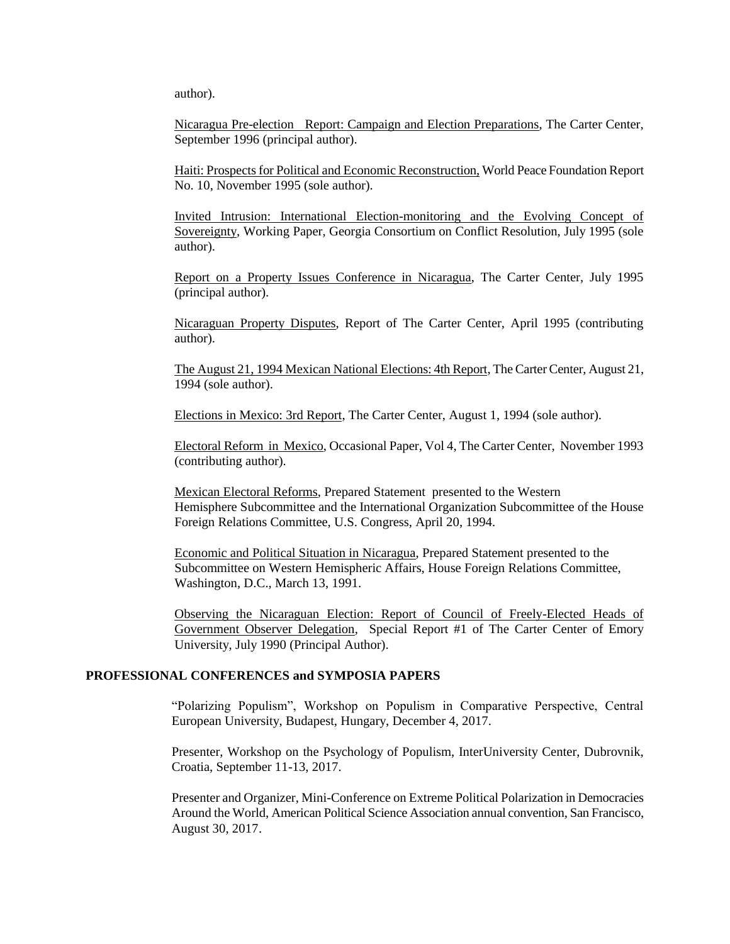author).

Nicaragua Pre-election Report: Campaign and Election Preparations, The Carter Center, September 1996 (principal author).

Haiti: Prospects for Political and Economic Reconstruction, World Peace Foundation Report No. 10, November 1995 (sole author).

Invited Intrusion: International Election-monitoring and the Evolving Concept of Sovereignty, Working Paper, Georgia Consortium on Conflict Resolution, July 1995 (sole author).

Report on a Property Issues Conference in Nicaragua, The Carter Center, July 1995 (principal author).

Nicaraguan Property Disputes, Report of The Carter Center, April 1995 (contributing author).

The August 21, 1994 Mexican National Elections: 4th Report, The Carter Center, August 21, 1994 (sole author).

Elections in Mexico: 3rd Report, The Carter Center, August 1, 1994 (sole author).

Electoral Reform in Mexico, Occasional Paper, Vol 4, The Carter Center, November 1993 (contributing author).

Mexican Electoral Reforms, Prepared Statement presented to the Western Hemisphere Subcommittee and the International Organization Subcommittee of the House Foreign Relations Committee, U.S. Congress, April 20, 1994.

Economic and Political Situation in Nicaragua, Prepared Statement presented to the Subcommittee on Western Hemispheric Affairs, House Foreign Relations Committee, Washington, D.C., March 13, 1991.

Observing the Nicaraguan Election: Report of Council of Freely-Elected Heads of Government Observer Delegation, Special Report #1 of The Carter Center of Emory University, July 1990 (Principal Author).

### **PROFESSIONAL CONFERENCES and SYMPOSIA PAPERS**

"Polarizing Populism", Workshop on Populism in Comparative Perspective, Central European University, Budapest, Hungary, December 4, 2017.

Presenter, Workshop on the Psychology of Populism, InterUniversity Center, Dubrovnik, Croatia, September 11-13, 2017.

Presenter and Organizer, Mini-Conference on Extreme Political Polarization in Democracies Around the World, American Political Science Association annual convention, San Francisco, August 30, 2017.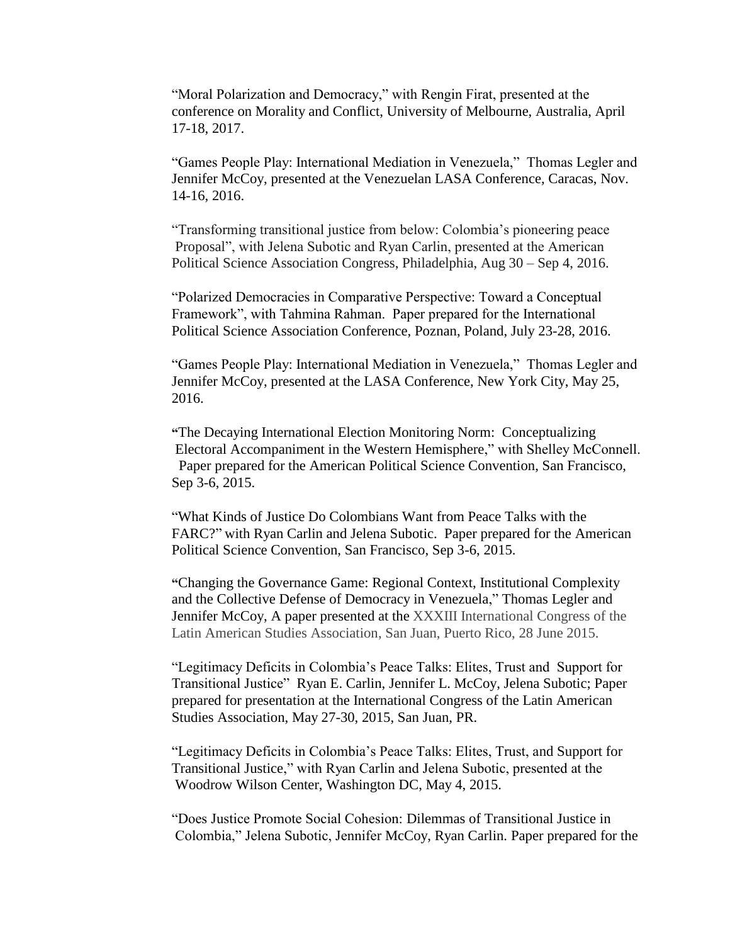"Moral Polarization and Democracy," with Rengin Firat, presented at the conference on Morality and Conflict, University of Melbourne, Australia, April 17-18, 2017.

"Games People Play: International Mediation in Venezuela," Thomas Legler and Jennifer McCoy, presented at the Venezuelan LASA Conference, Caracas, Nov. 14-16, 2016.

"Transforming transitional justice from below: Colombia's pioneering peace Proposal", with Jelena Subotic and Ryan Carlin, presented at the American Political Science Association Congress, Philadelphia, Aug 30 – Sep 4, 2016.

"Polarized Democracies in Comparative Perspective: Toward a Conceptual Framework", with Tahmina Rahman. Paper prepared for the International Political Science Association Conference, Poznan, Poland, July 23-28, 2016.

"Games People Play: International Mediation in Venezuela," Thomas Legler and Jennifer McCoy, presented at the LASA Conference, New York City, May 25, 2016.

**"**The Decaying International Election Monitoring Norm: Conceptualizing Electoral Accompaniment in the Western Hemisphere," with Shelley McConnell. Paper prepared for the American Political Science Convention, San Francisco, Sep 3-6, 2015.

"What Kinds of Justice Do Colombians Want from Peace Talks with the FARC?" with Ryan Carlin and Jelena Subotic. Paper prepared for the American Political Science Convention, San Francisco, Sep 3-6, 2015.

**"**Changing the Governance Game: Regional Context, Institutional Complexity and the Collective Defense of Democracy in Venezuela," Thomas Legler and Jennifer McCoy, A paper presented at the XXXIII International Congress of the Latin American Studies Association, San Juan, Puerto Rico, 28 June 2015.

"Legitimacy Deficits in Colombia's Peace Talks: Elites, Trust and Support for Transitional Justice" Ryan E. Carlin, Jennifer L. McCoy, Jelena Subotic; Paper prepared for presentation at the International Congress of the Latin American Studies Association, May 27-30, 2015, San Juan, PR.

"Legitimacy Deficits in Colombia's Peace Talks: Elites, Trust, and Support for Transitional Justice," with Ryan Carlin and Jelena Subotic, presented at the Woodrow Wilson Center, Washington DC, May 4, 2015.

"Does Justice Promote Social Cohesion: Dilemmas of Transitional Justice in Colombia," Jelena Subotic, Jennifer McCoy, Ryan Carlin. Paper prepared for the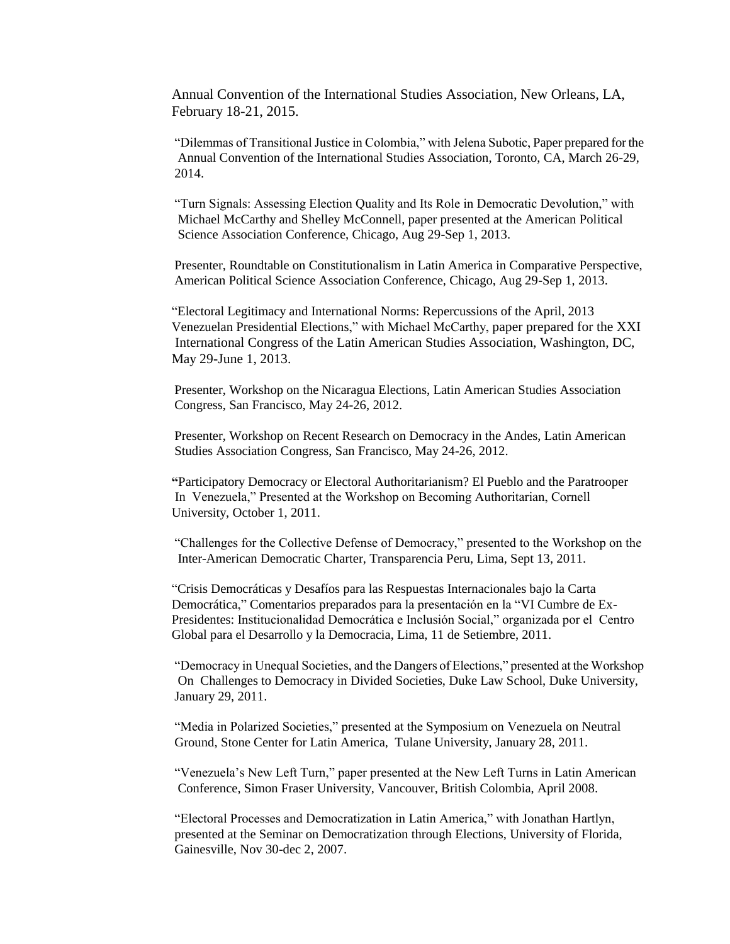Annual Convention of the International Studies Association, New Orleans, LA, February 18-21, 2015.

"Dilemmas of Transitional Justice in Colombia," with Jelena Subotic, Paper prepared for the Annual Convention of the International Studies Association, Toronto, CA, March 26-29, 2014.

"Turn Signals: Assessing Election Quality and Its Role in Democratic Devolution," with Michael McCarthy and Shelley McConnell, paper presented at the American Political Science Association Conference, Chicago, Aug 29-Sep 1, 2013.

Presenter, Roundtable on Constitutionalism in Latin America in Comparative Perspective, American Political Science Association Conference, Chicago, Aug 29-Sep 1, 2013.

"Electoral Legitimacy and International Norms: Repercussions of the April, 2013 Venezuelan Presidential Elections," with Michael McCarthy, paper prepared for the XXI International Congress of the Latin American Studies Association, Washington, DC, May 29-June 1, 2013.

Presenter, Workshop on the Nicaragua Elections, Latin American Studies Association Congress, San Francisco, May 24-26, 2012.

Presenter, Workshop on Recent Research on Democracy in the Andes, Latin American Studies Association Congress, San Francisco, May 24-26, 2012.

**"**Participatory Democracy or Electoral Authoritarianism? El Pueblo and the Paratrooper In Venezuela," Presented at the Workshop on Becoming Authoritarian, Cornell University, October 1, 2011.

"Challenges for the Collective Defense of Democracy," presented to the Workshop on the Inter-American Democratic Charter, Transparencia Peru, Lima, Sept 13, 2011.

"Crisis Democráticas y Desafíos para las Respuestas Internacionales bajo la Carta Democrática," Comentarios preparados para la presentación en la "VI Cumbre de Ex-Presidentes: Institucionalidad Democrática e Inclusión Social," organizada por el Centro Global para el Desarrollo y la Democracia, Lima, 11 de Setiembre, 2011.

"Democracy in Unequal Societies, and the Dangers of Elections," presented at the Workshop On Challenges to Democracy in Divided Societies, Duke Law School, Duke University, January 29, 2011.

"Media in Polarized Societies," presented at the Symposium on Venezuela on Neutral Ground, Stone Center for Latin America, Tulane University, January 28, 2011.

"Venezuela's New Left Turn," paper presented at the New Left Turns in Latin American Conference, Simon Fraser University, Vancouver, British Colombia, April 2008.

"Electoral Processes and Democratization in Latin America," with Jonathan Hartlyn, presented at the Seminar on Democratization through Elections, University of Florida, Gainesville, Nov 30-dec 2, 2007.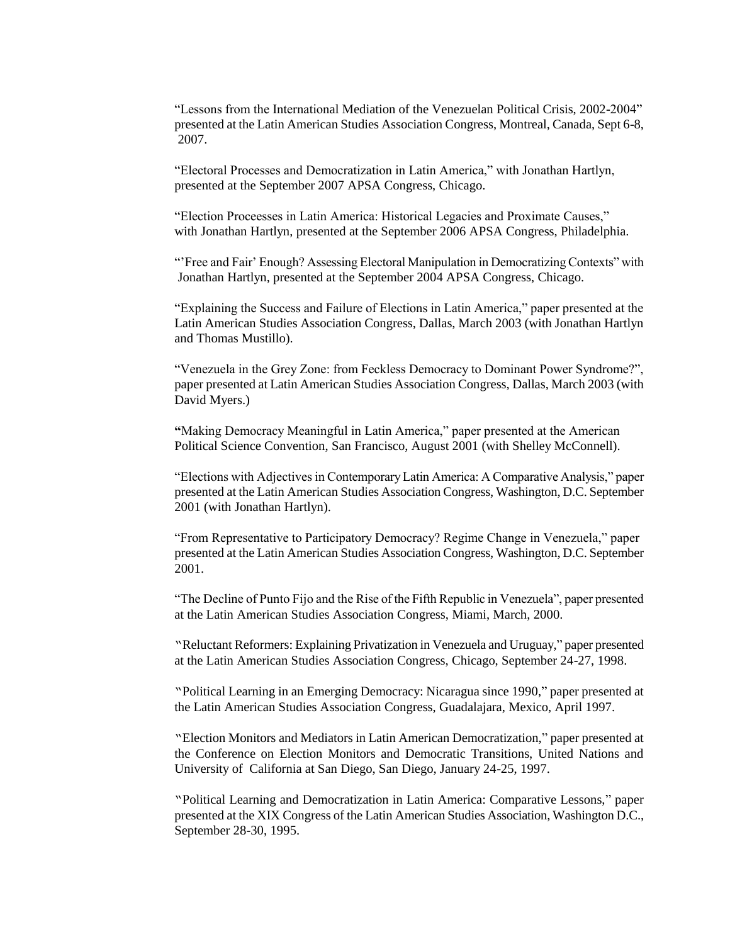"Lessons from the International Mediation of the Venezuelan Political Crisis, 2002-2004" presented at the Latin American Studies Association Congress, Montreal, Canada, Sept 6-8, 2007.

"Electoral Processes and Democratization in Latin America," with Jonathan Hartlyn, presented at the September 2007 APSA Congress, Chicago.

"Election Proceesses in Latin America: Historical Legacies and Proximate Causes," with Jonathan Hartlyn, presented at the September 2006 APSA Congress, Philadelphia.

"'Free and Fair' Enough? Assessing Electoral Manipulation in Democratizing Contexts" with Jonathan Hartlyn, presented at the September 2004 APSA Congress, Chicago.

"Explaining the Success and Failure of Elections in Latin America," paper presented at the Latin American Studies Association Congress, Dallas, March 2003 (with Jonathan Hartlyn and Thomas Mustillo).

"Venezuela in the Grey Zone: from Feckless Democracy to Dominant Power Syndrome?", paper presented at Latin American Studies Association Congress, Dallas, March 2003 (with David Myers.)

**"**Making Democracy Meaningful in Latin America," paper presented at the American Political Science Convention, San Francisco, August 2001 (with Shelley McConnell).

"Elections with Adjectives in Contemporary Latin America: A Comparative Analysis," paper presented at the Latin American Studies Association Congress, Washington, D.C. September 2001 (with Jonathan Hartlyn).

"From Representative to Participatory Democracy? Regime Change in Venezuela," paper presented at the Latin American Studies Association Congress, Washington, D.C. September 2001.

"The Decline of Punto Fijo and the Rise of the Fifth Republic in Venezuela", paper presented at the Latin American Studies Association Congress, Miami, March, 2000.

"Reluctant Reformers: Explaining Privatization in Venezuela and Uruguay," paper presented at the Latin American Studies Association Congress, Chicago, September 24-27, 1998.

"Political Learning in an Emerging Democracy: Nicaragua since 1990," paper presented at the Latin American Studies Association Congress, Guadalajara, Mexico, April 1997.

"Election Monitors and Mediators in Latin American Democratization," paper presented at the Conference on Election Monitors and Democratic Transitions, United Nations and University of California at San Diego, San Diego, January 24-25, 1997.

"Political Learning and Democratization in Latin America: Comparative Lessons," paper presented at the XIX Congress of the Latin American Studies Association, Washington D.C., September 28-30, 1995.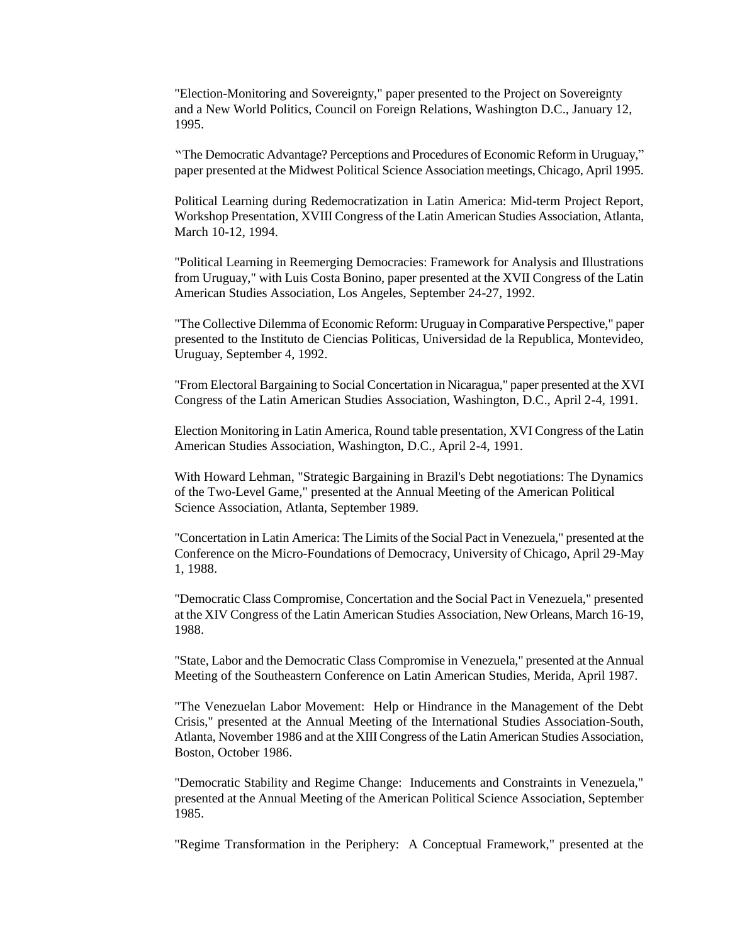"Election-Monitoring and Sovereignty," paper presented to the Project on Sovereignty and a New World Politics, Council on Foreign Relations, Washington D.C., January 12, 1995.

"The Democratic Advantage? Perceptions and Procedures of Economic Reform in Uruguay," paper presented at the Midwest Political Science Association meetings, Chicago, April 1995.

Political Learning during Redemocratization in Latin America: Mid-term Project Report, Workshop Presentation, XVIII Congress of the Latin American Studies Association, Atlanta, March 10-12, 1994.

"Political Learning in Reemerging Democracies: Framework for Analysis and Illustrations from Uruguay," with Luis Costa Bonino, paper presented at the XVII Congress of the Latin American Studies Association, Los Angeles, September 24-27, 1992.

"The Collective Dilemma of Economic Reform: Uruguay in Comparative Perspective," paper presented to the Instituto de Ciencias Politicas, Universidad de la Republica, Montevideo, Uruguay, September 4, 1992.

"From Electoral Bargaining to Social Concertation in Nicaragua," paper presented at the XVI Congress of the Latin American Studies Association, Washington, D.C., April 2-4, 1991.

Election Monitoring in Latin America, Round table presentation, XVI Congress of the Latin American Studies Association, Washington, D.C., April 2-4, 1991.

With Howard Lehman, "Strategic Bargaining in Brazil's Debt negotiations: The Dynamics of the Two-Level Game," presented at the Annual Meeting of the American Political Science Association, Atlanta, September 1989.

"Concertation in Latin America: The Limits of the Social Pact in Venezuela," presented at the Conference on the Micro-Foundations of Democracy, University of Chicago, April 29-May 1, 1988.

"Democratic Class Compromise, Concertation and the Social Pact in Venezuela," presented at the XIV Congress of the Latin American Studies Association, New Orleans, March 16-19, 1988.

"State, Labor and the Democratic Class Compromise in Venezuela," presented at the Annual Meeting of the Southeastern Conference on Latin American Studies, Merida, April 1987.

"The Venezuelan Labor Movement: Help or Hindrance in the Management of the Debt Crisis," presented at the Annual Meeting of the International Studies Association-South, Atlanta, November 1986 and at the XIII Congress of the Latin American Studies Association, Boston, October 1986.

"Democratic Stability and Regime Change: Inducements and Constraints in Venezuela," presented at the Annual Meeting of the American Political Science Association, September 1985.

"Regime Transformation in the Periphery: A Conceptual Framework," presented at the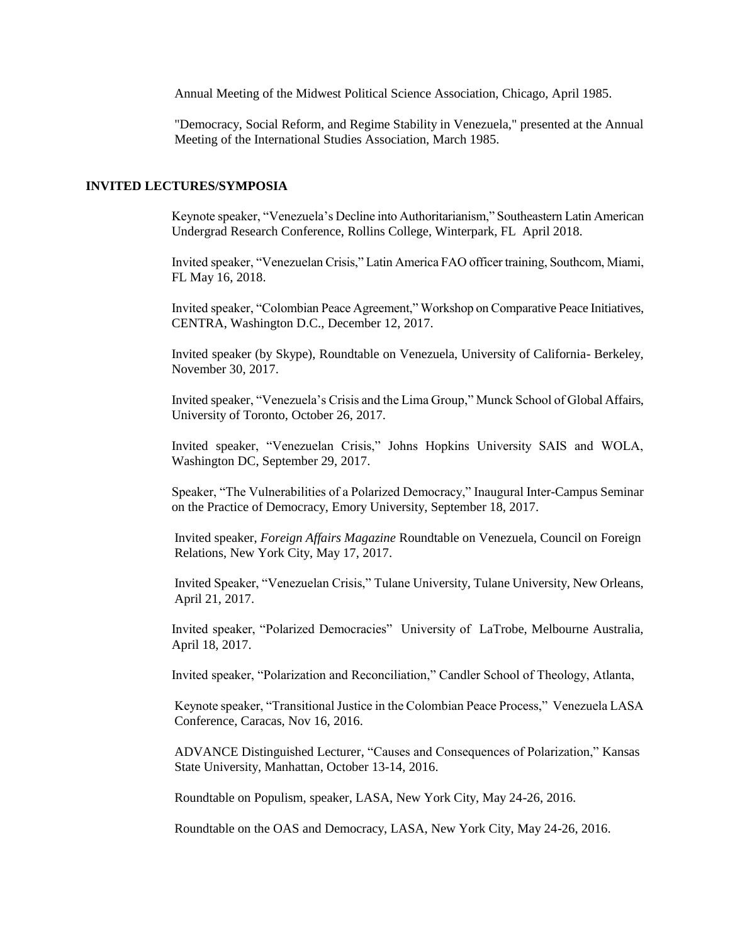Annual Meeting of the Midwest Political Science Association, Chicago, April 1985.

"Democracy, Social Reform, and Regime Stability in Venezuela," presented at the Annual Meeting of the International Studies Association, March 1985.

#### **INVITED LECTURES/SYMPOSIA**

Keynote speaker, "Venezuela's Decline into Authoritarianism," Southeastern Latin American Undergrad Research Conference, Rollins College, Winterpark, FL April 2018.

Invited speaker, "Venezuelan Crisis," Latin America FAO officer training, Southcom, Miami, FL May 16, 2018.

Invited speaker, "Colombian Peace Agreement," Workshop on Comparative Peace Initiatives, CENTRA, Washington D.C., December 12, 2017.

Invited speaker (by Skype), Roundtable on Venezuela, University of California- Berkeley, November 30, 2017.

Invited speaker, "Venezuela's Crisis and the Lima Group," Munck School of Global Affairs, University of Toronto, October 26, 2017.

Invited speaker, "Venezuelan Crisis," Johns Hopkins University SAIS and WOLA, Washington DC, September 29, 2017.

Speaker, "The Vulnerabilities of a Polarized Democracy," Inaugural Inter-Campus Seminar on the Practice of Democracy, Emory University, September 18, 2017.

Invited speaker, *Foreign Affairs Magazine* Roundtable on Venezuela, Council on Foreign Relations, New York City, May 17, 2017.

Invited Speaker, "Venezuelan Crisis," Tulane University, Tulane University, New Orleans, April 21, 2017.

Invited speaker, "Polarized Democracies" University of LaTrobe, Melbourne Australia, April 18, 2017.

Invited speaker, "Polarization and Reconciliation," Candler School of Theology, Atlanta,

Keynote speaker, "Transitional Justice in the Colombian Peace Process," Venezuela LASA Conference, Caracas, Nov 16, 2016.

ADVANCE Distinguished Lecturer, "Causes and Consequences of Polarization," Kansas State University, Manhattan, October 13-14, 2016.

Roundtable on Populism, speaker, LASA, New York City, May 24-26, 2016.

Roundtable on the OAS and Democracy, LASA, New York City, May 24-26, 2016.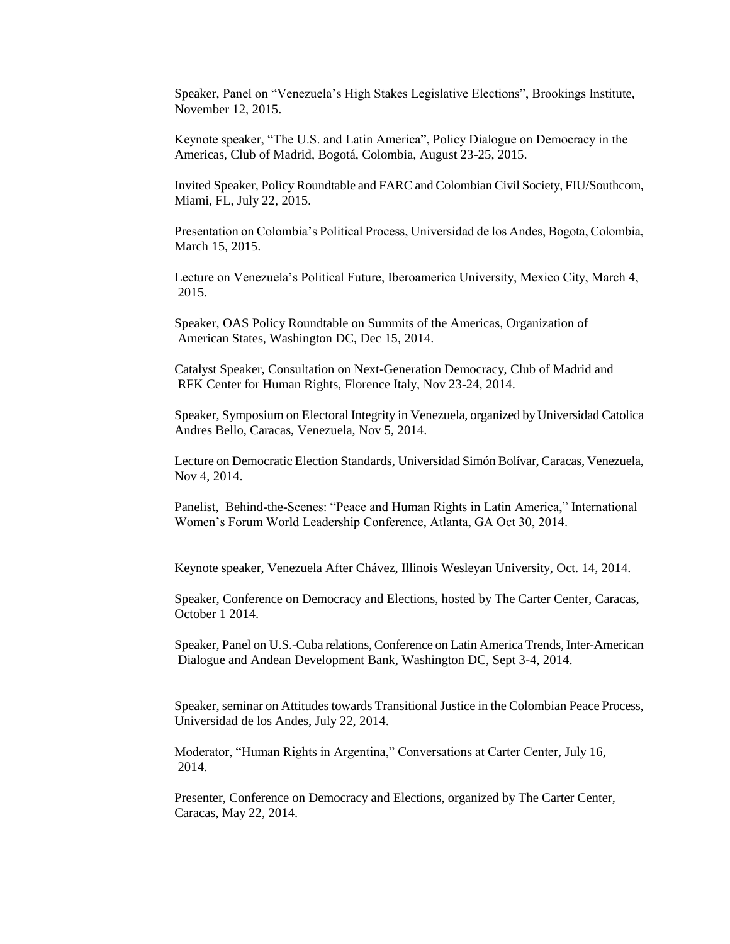Speaker, Panel on "Venezuela's High Stakes Legislative Elections", Brookings Institute, November 12, 2015.

Keynote speaker, "The U.S. and Latin America", Policy Dialogue on Democracy in the Americas, Club of Madrid, Bogotá, Colombia, August 23-25, 2015.

Invited Speaker, Policy Roundtable and FARC and Colombian Civil Society, FIU/Southcom, Miami, FL, July 22, 2015.

Presentation on Colombia's Political Process, Universidad de los Andes, Bogota, Colombia, March 15, 2015.

Lecture on Venezuela's Political Future, Iberoamerica University, Mexico City, March 4, 2015.

Speaker, OAS Policy Roundtable on Summits of the Americas, Organization of American States, Washington DC, Dec 15, 2014.

Catalyst Speaker, Consultation on Next-Generation Democracy, Club of Madrid and RFK Center for Human Rights, Florence Italy, Nov 23-24, 2014.

Speaker, Symposium on Electoral Integrity in Venezuela, organized by Universidad Catolica Andres Bello, Caracas, Venezuela, Nov 5, 2014.

Lecture on Democratic Election Standards, Universidad Simón Bolívar, Caracas, Venezuela, Nov 4, 2014.

Panelist, Behind-the-Scenes: "Peace and Human Rights in Latin America," International Women's Forum World Leadership Conference, Atlanta, GA Oct 30, 2014.

Keynote speaker, Venezuela After Chávez, Illinois Wesleyan University, Oct. 14, 2014.

Speaker, Conference on Democracy and Elections, hosted by The Carter Center, Caracas, October 1 2014.

Speaker, Panel on U.S.-Cuba relations, Conference on Latin America Trends, Inter-American Dialogue and Andean Development Bank, Washington DC, Sept 3-4, 2014.

Speaker, seminar on Attitudes towards Transitional Justice in the Colombian Peace Process, Universidad de los Andes, July 22, 2014.

Moderator, "Human Rights in Argentina," Conversations at Carter Center, July 16, 2014.

Presenter, Conference on Democracy and Elections, organized by The Carter Center, Caracas, May 22, 2014.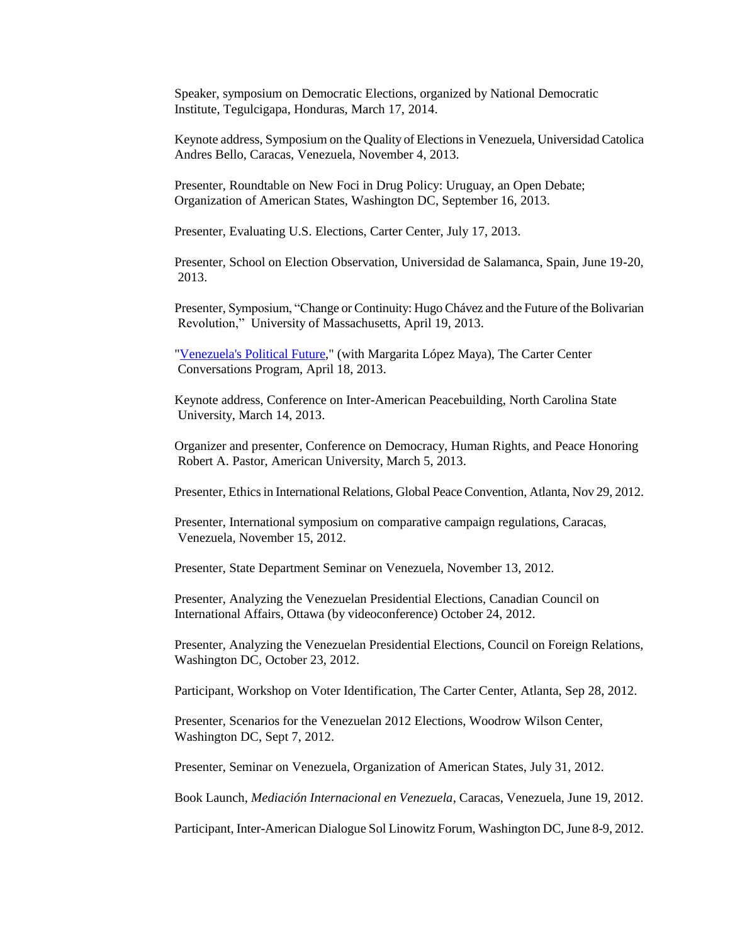Speaker, symposium on Democratic Elections, organized by National Democratic Institute, Tegulcigapa, Honduras, March 17, 2014.

Keynote address, Symposium on the Quality of Elections in Venezuela, Universidad Catolica Andres Bello, Caracas, Venezuela, November 4, 2013.

Presenter, Roundtable on New Foci in Drug Policy: Uruguay, an Open Debate; Organization of American States, Washington DC, September 16, 2013.

Presenter, Evaluating U.S. Elections, Carter Center, July 17, 2013.

Presenter, School on Election Observation, Universidad de Salamanca, Spain, June 19-20, 2013.

Presenter, Symposium, "Change or Continuity: Hugo Chávez and the Future of the Bolivarian Revolution," University of Massachusetts, April 19, 2013.

["Venezuela's Political Future,](http://www.cartercenter.org/news/multimedia/Conversations/VenezuelasPoliticalFuture.html)" (with Margarita López Maya), The Carter Center Conversations Program, April 18, 2013.

Keynote address, Conference on Inter-American Peacebuilding, North Carolina State University, March 14, 2013.

Organizer and presenter, Conference on Democracy, Human Rights, and Peace Honoring Robert A. Pastor, American University, March 5, 2013.

Presenter, Ethics in International Relations, Global Peace Convention, Atlanta, Nov 29, 2012.

Presenter, International symposium on comparative campaign regulations, Caracas, Venezuela, November 15, 2012.

Presenter, State Department Seminar on Venezuela, November 13, 2012.

Presenter, Analyzing the Venezuelan Presidential Elections, Canadian Council on International Affairs, Ottawa (by videoconference) October 24, 2012.

Presenter, Analyzing the Venezuelan Presidential Elections, Council on Foreign Relations, Washington DC, October 23, 2012.

Participant, Workshop on Voter Identification, The Carter Center, Atlanta, Sep 28, 2012.

Presenter, Scenarios for the Venezuelan 2012 Elections, Woodrow Wilson Center, Washington DC, Sept 7, 2012.

Presenter, Seminar on Venezuela, Organization of American States, July 31, 2012.

Book Launch, *Mediación Internacional en Venezuela*, Caracas, Venezuela, June 19, 2012.

Participant, Inter-American Dialogue Sol Linowitz Forum, Washington DC, June 8-9, 2012.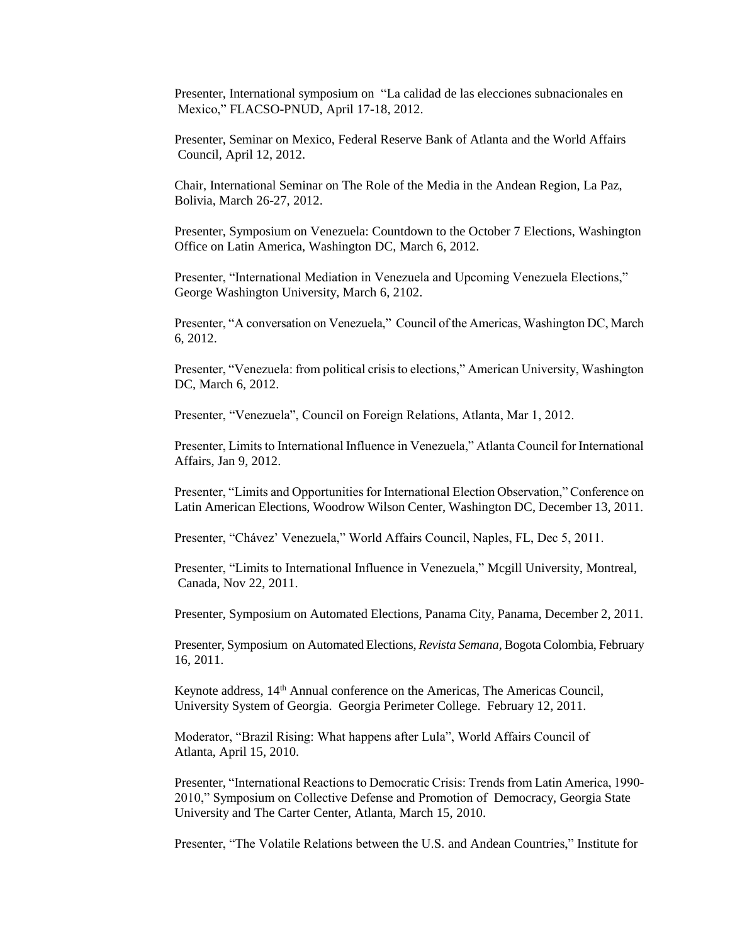Presenter, International symposium on "La calidad de las elecciones subnacionales en Mexico," FLACSO-PNUD, April 17-18, 2012.

Presenter, Seminar on Mexico, Federal Reserve Bank of Atlanta and the World Affairs Council, April 12, 2012.

Chair, International Seminar on The Role of the Media in the Andean Region, La Paz, Bolivia, March 26-27, 2012.

Presenter, Symposium on Venezuela: Countdown to the October 7 Elections, Washington Office on Latin America, Washington DC, March 6, 2012.

Presenter, "International Mediation in Venezuela and Upcoming Venezuela Elections," George Washington University, March 6, 2102.

Presenter, "A conversation on Venezuela," Council of the Americas, Washington DC, March 6, 2012.

Presenter, "Venezuela: from political crisis to elections," American University, Washington DC, March 6, 2012.

Presenter, "Venezuela", Council on Foreign Relations, Atlanta, Mar 1, 2012.

Presenter, Limits to International Influence in Venezuela," Atlanta Council for International Affairs, Jan 9, 2012.

Presenter, "Limits and Opportunities for International Election Observation," Conference on Latin American Elections, Woodrow Wilson Center, Washington DC, December 13, 2011.

Presenter, "Chávez' Venezuela," World Affairs Council, Naples, FL, Dec 5, 2011.

Presenter, "Limits to International Influence in Venezuela," Mcgill University, Montreal, Canada, Nov 22, 2011.

Presenter, Symposium on Automated Elections, Panama City, Panama, December 2, 2011.

Presenter, Symposium on Automated Elections, *Revista Semana*, Bogota Colombia, February 16, 2011.

Keynote address, 14<sup>th</sup> Annual conference on the Americas, The Americas Council, University System of Georgia. Georgia Perimeter College. February 12, 2011.

Moderator, "Brazil Rising: What happens after Lula", World Affairs Council of Atlanta, April 15, 2010.

Presenter, "International Reactions to Democratic Crisis: Trends from Latin America, 1990- 2010," Symposium on Collective Defense and Promotion of Democracy, Georgia State University and The Carter Center, Atlanta, March 15, 2010.

Presenter, "The Volatile Relations between the U.S. and Andean Countries," Institute for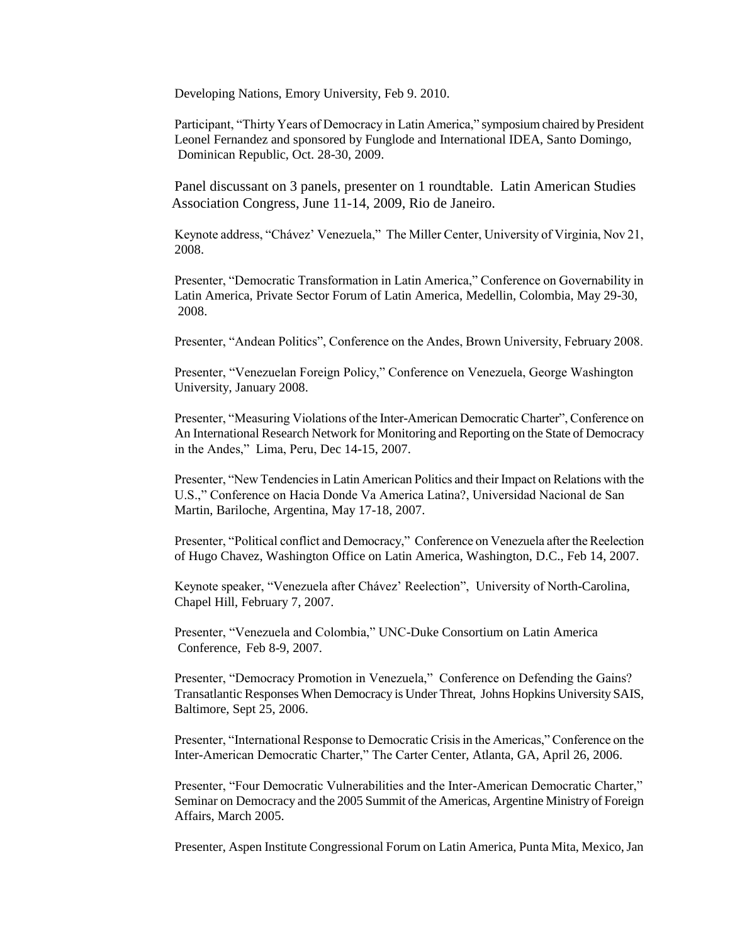Developing Nations, Emory University, Feb 9. 2010.

Participant, "Thirty Years of Democracy in Latin America," symposium chaired by President Leonel Fernandez and sponsored by Funglode and International IDEA, Santo Domingo, Dominican Republic, Oct. 28-30, 2009.

Panel discussant on 3 panels, presenter on 1 roundtable. Latin American Studies Association Congress, June 11-14, 2009, Rio de Janeiro.

Keynote address, "Chávez' Venezuela," The Miller Center, University of Virginia, Nov 21, 2008.

Presenter, "Democratic Transformation in Latin America," Conference on Governability in Latin America, Private Sector Forum of Latin America, Medellin, Colombia, May 29-30, 2008.

Presenter, "Andean Politics", Conference on the Andes, Brown University, February 2008.

Presenter, "Venezuelan Foreign Policy," Conference on Venezuela, George Washington University, January 2008.

Presenter, "Measuring Violations of the Inter-American Democratic Charter", Conference on An International Research Network for Monitoring and Reporting on the State of Democracy in the Andes," Lima, Peru, Dec 14-15, 2007.

Presenter, "New Tendencies in Latin American Politics and their Impact on Relations with the U.S.," Conference on Hacia Donde Va America Latina?, Universidad Nacional de San Martin, Bariloche, Argentina, May 17-18, 2007.

Presenter, "Political conflict and Democracy," Conference on Venezuela after the Reelection of Hugo Chavez, Washington Office on Latin America, Washington, D.C., Feb 14, 2007.

Keynote speaker, "Venezuela after Chávez' Reelection", University of North-Carolina, Chapel Hill, February 7, 2007.

Presenter, "Venezuela and Colombia," UNC-Duke Consortium on Latin America Conference, Feb 8-9, 2007.

Presenter, "Democracy Promotion in Venezuela," Conference on Defending the Gains? Transatlantic Responses When Democracy is Under Threat, Johns Hopkins University SAIS, Baltimore, Sept 25, 2006.

Presenter, "International Response to Democratic Crisis in the Americas," Conference on the Inter-American Democratic Charter," The Carter Center, Atlanta, GA, April 26, 2006.

Presenter, "Four Democratic Vulnerabilities and the Inter-American Democratic Charter," Seminar on Democracy and the 2005 Summit of the Americas, Argentine Ministry of Foreign Affairs, March 2005.

Presenter, Aspen Institute Congressional Forum on Latin America, Punta Mita, Mexico, Jan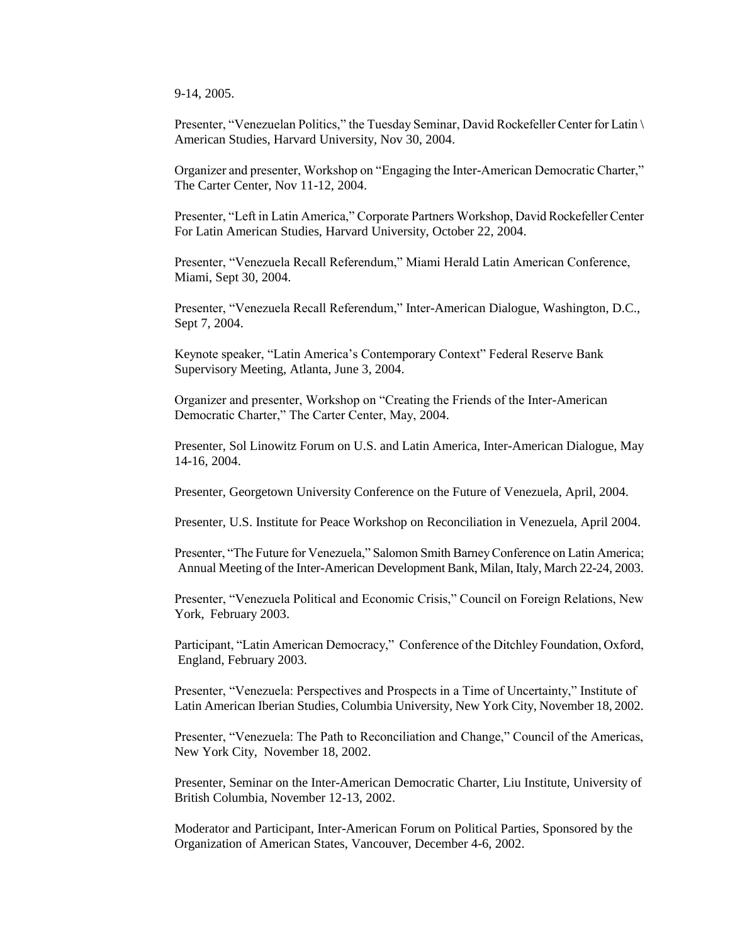9-14, 2005.

Presenter, "Venezuelan Politics," the Tuesday Seminar, David Rockefeller Center for Latin \ American Studies, Harvard University, Nov 30, 2004.

Organizer and presenter, Workshop on "Engaging the Inter-American Democratic Charter," The Carter Center, Nov 11-12, 2004.

Presenter, "Left in Latin America," Corporate Partners Workshop, David Rockefeller Center For Latin American Studies, Harvard University, October 22, 2004.

Presenter, "Venezuela Recall Referendum," Miami Herald Latin American Conference, Miami, Sept 30, 2004.

Presenter, "Venezuela Recall Referendum," Inter-American Dialogue, Washington, D.C., Sept 7, 2004.

Keynote speaker, "Latin America's Contemporary Context" Federal Reserve Bank Supervisory Meeting, Atlanta, June 3, 2004.

Organizer and presenter, Workshop on "Creating the Friends of the Inter-American Democratic Charter," The Carter Center, May, 2004.

Presenter, Sol Linowitz Forum on U.S. and Latin America, Inter-American Dialogue, May 14-16, 2004.

Presenter, Georgetown University Conference on the Future of Venezuela, April, 2004.

Presenter, U.S. Institute for Peace Workshop on Reconciliation in Venezuela, April 2004.

Presenter, "The Future for Venezuela," Salomon Smith Barney Conference on Latin America; Annual Meeting of the Inter-American Development Bank, Milan, Italy, March 22-24, 2003.

Presenter, "Venezuela Political and Economic Crisis," Council on Foreign Relations, New York, February 2003.

Participant, "Latin American Democracy," Conference of the Ditchley Foundation, Oxford, England, February 2003.

Presenter, "Venezuela: Perspectives and Prospects in a Time of Uncertainty," Institute of Latin American Iberian Studies, Columbia University, New York City, November 18, 2002.

Presenter, "Venezuela: The Path to Reconciliation and Change," Council of the Americas, New York City, November 18, 2002.

Presenter, Seminar on the Inter-American Democratic Charter, Liu Institute, University of British Columbia, November 12-13, 2002.

Moderator and Participant, Inter-American Forum on Political Parties, Sponsored by the Organization of American States, Vancouver, December 4-6, 2002.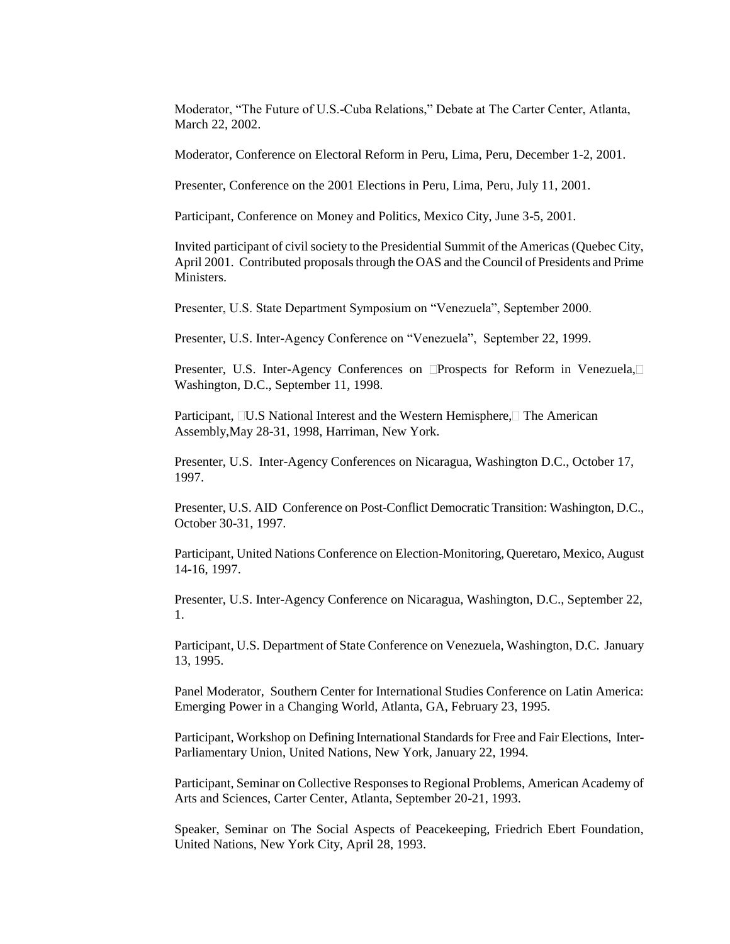Moderator, "The Future of U.S.-Cuba Relations," Debate at The Carter Center, Atlanta, March 22, 2002.

Moderator, Conference on Electoral Reform in Peru, Lima, Peru, December 1-2, 2001.

Presenter, Conference on the 2001 Elections in Peru, Lima, Peru, July 11, 2001.

Participant, Conference on Money and Politics, Mexico City, June 3-5, 2001.

Invited participant of civil society to the Presidential Summit of the Americas (Quebec City, April 2001. Contributed proposals through the OAS and the Council of Presidents and Prime Ministers.

Presenter, U.S. State Department Symposium on "Venezuela", September 2000.

Presenter, U.S. Inter-Agency Conference on "Venezuela", September 22, 1999.

Presenter, U.S. Inter-Agency Conferences on **Prospects** for Reform in Venezuela, Washington, D.C., September 11, 1998.

Participant,  $\Box$ U.S National Interest and the Western Hemisphere, $\Box$  The American Assembly,May 28-31, 1998, Harriman, New York.

Presenter, U.S. Inter-Agency Conferences on Nicaragua, Washington D.C., October 17, 1997.

Presenter, U.S. AID Conference on Post-Conflict Democratic Transition: Washington, D.C., October 30-31, 1997.

Participant, United Nations Conference on Election-Monitoring, Queretaro, Mexico, August 14-16, 1997.

Presenter, U.S. Inter-Agency Conference on Nicaragua, Washington, D.C., September 22, 1.

Participant, U.S. Department of State Conference on Venezuela, Washington, D.C. January 13, 1995.

Panel Moderator, Southern Center for International Studies Conference on Latin America: Emerging Power in a Changing World, Atlanta, GA, February 23, 1995.

 Participant, Workshop on Defining International Standards for Free and Fair Elections, Inter-Parliamentary Union, United Nations, New York, January 22, 1994.

Participant, Seminar on Collective Responses to Regional Problems, American Academy of Arts and Sciences, Carter Center, Atlanta, September 20-21, 1993.

Speaker, Seminar on The Social Aspects of Peacekeeping, Friedrich Ebert Foundation, United Nations, New York City, April 28, 1993.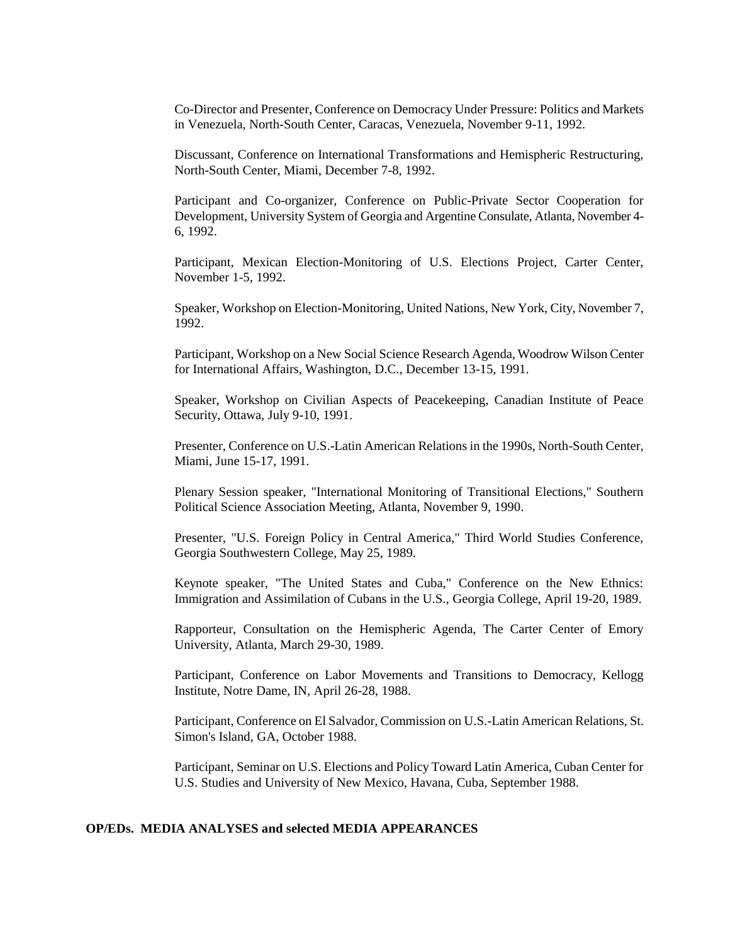Co-Director and Presenter, Conference on Democracy Under Pressure: Politics and Markets in Venezuela, North-South Center, Caracas, Venezuela, November 9-11, 1992.

Discussant, Conference on International Transformations and Hemispheric Restructuring, North-South Center, Miami, December 7-8, 1992.

Participant and Co-organizer, Conference on Public-Private Sector Cooperation for Development, University System of Georgia and Argentine Consulate, Atlanta, November 4- 6, 1992.

Participant, Mexican Election-Monitoring of U.S. Elections Project, Carter Center, November 1-5, 1992.

Speaker, Workshop on Election-Monitoring, United Nations, New York, City, November 7, 1992.

Participant, Workshop on a New Social Science Research Agenda, Woodrow Wilson Center for International Affairs, Washington, D.C., December 13-15, 1991.

Speaker, Workshop on Civilian Aspects of Peacekeeping, Canadian Institute of Peace Security, Ottawa, July 9-10, 1991.

Presenter, Conference on U.S.-Latin American Relations in the 1990s, North-South Center, Miami, June 15-17, 1991.

Plenary Session speaker, "International Monitoring of Transitional Elections," Southern Political Science Association Meeting, Atlanta, November 9, 1990.

Presenter, "U.S. Foreign Policy in Central America," Third World Studies Conference, Georgia Southwestern College, May 25, 1989.

Keynote speaker, "The United States and Cuba," Conference on the New Ethnics: Immigration and Assimilation of Cubans in the U.S., Georgia College, April 19-20, 1989.

Rapporteur, Consultation on the Hemispheric Agenda, The Carter Center of Emory University, Atlanta, March 29-30, 1989.

Participant, Conference on Labor Movements and Transitions to Democracy, Kellogg Institute, Notre Dame, IN, April 26-28, 1988.

Participant, Conference on El Salvador, Commission on U.S.-Latin American Relations, St. Simon's Island, GA, October 1988.

Participant, Seminar on U.S. Elections and Policy Toward Latin America, Cuban Center for U.S. Studies and University of New Mexico, Havana, Cuba, September 1988.

## **OP/EDs. MEDIA ANALYSES and selected MEDIA APPEARANCES**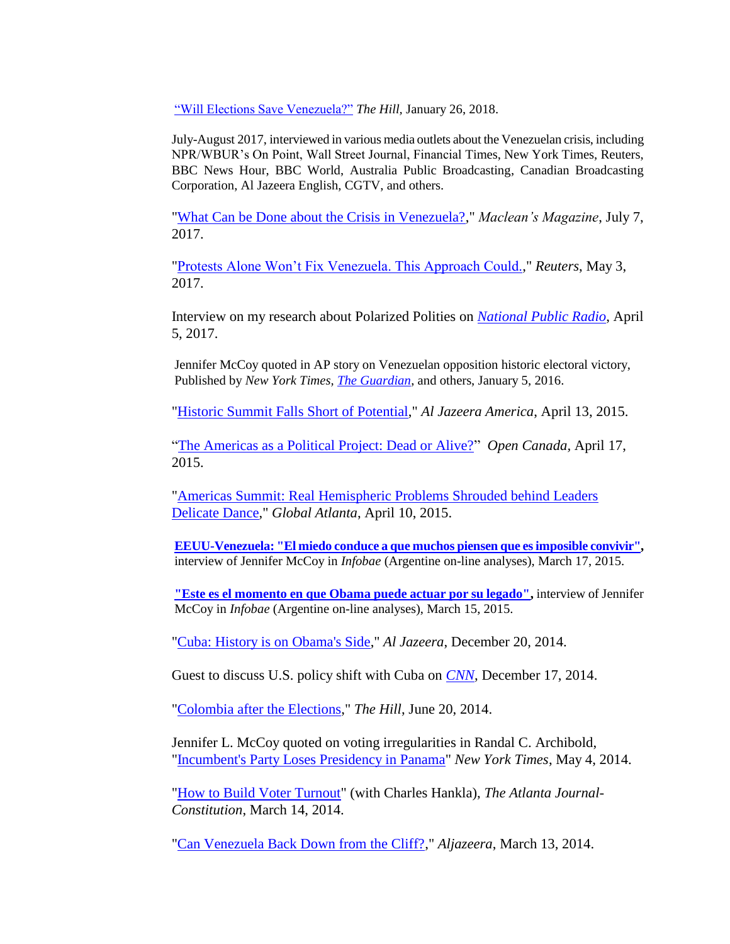["Will Elections Save Venezuela?"](http://thehill.com/opinion/international/370631-will-elections-save-venezuela) *The Hill,* January 26, 2018.

July-August 2017, interviewed in various media outlets about the Venezuelan crisis, including NPR/WBUR's On Point, Wall Street Journal, Financial Times, New York Times, Reuters, BBC News Hour, BBC World, Australia Public Broadcasting, Canadian Broadcasting Corporation, Al Jazeera English, CGTV, and others.

["What Can be Done about the Crisis in Venezuela?,](http://www.macleans.ca/opinion/what-can-be-done-about-the-crisis-in-venezuela/)" *Maclean's Magazine*, July 7, 2017.

["Protests Alone Won't Fix Venezuela. This Approach Could.,](http://mobile.reuters.com/article/idUSKBN17Y1YB)" *Reuters*, May 3, 2017.

Interview on my research about Polarized Polities on *[National Public Radio](http://www.npr.org/2017/04/05/522756774/political-science-professor-warns-of-dangers-of-polarized-politics)*, April 5, 2017.

Jennifer McCoy quoted in AP story on Venezuelan opposition historic electoral victory, Published by *New York Times, [The Guardian](http://www.theguardian.com/world/2016/jan/05/venezuela-hugo-chavez-opposition-party-sworn-in-legislature-socialist)*, and others, January 5, 2016.

["Historic Summit Falls Short of Potential,](http://www.aljazeera.com/indepth/opinion/2015/04/historic-summit-falls-short-potential-150413045433488.html)" *Al Jazeera America*, April 13, 2015.

["The Americas as a Political Project: Dead or Alive?"](https://www.opencanada.org/features/the-americas-as-a-political-project-dead-or-alive/) *Open Canada,* April 17, 2015.

["Americas Summit: Real Hemispheric Problems Shrouded behind Leaders](http://www.globalatlanta.com/article/27547/americas-summit-real-hemispheric-problems-shrouded-behind-leaders-delicate-dance/)  [Delicate Dance,](http://www.globalatlanta.com/article/27547/americas-summit-real-hemispheric-problems-shrouded-behind-leaders-delicate-dance/)" *Global Atlanta*, April 10, 2015.

**[EEUU-Venezuela: "El miedo conduce a que muchos piensen que es imposible convivir",](http://www.infobae.com/2015/03/14/1715873-eeuu-venezuela-el-miedo-conduce-que-muchos-piensen-que-es-imposible-convivir)**  interview of Jennifer McCoy in *Infobae* (Argentine on-line analyses), March 17, 2015.

**["Este es el momento en que Obama puede actuar por su legado",](http://www.infobae.com/2015/03/15/1716075-este-es-el-momento-que-obama-puede-actuar-su-legado)** interview of Jennifer McCoy in *Infobae* (Argentine on-line analyses), March 15, 2015.

["Cuba: History is on Obama's Side,](http://www.aljazeera.com/indepth/opinion/2014/12/cuba-history-obama-side-20141219113817672957.html)" *Al Jazeera*, December 20, 2014.

Guest to discuss U.S. policy shift with Cuba on *[CNN](http://edition.cnn.com/video/data/2.0/video/world/2014/12/17/ct-cuba-us-relations-jennifer-mccoy-intv.cnn.html)*, December 17, 2014.

["Colombia after the Elections,](http://thehill.com/blogs/pundits-blog/international/210003-colombia-after-the-elections)" *The Hill*, June 20, 2014.

Jennifer L. McCoy quoted on voting irregularities in Randal C. Archibold, ["Incumbent's Party Loses Presidency in Panama"](http://mobile.nytimes.com/2014/05/05/world/americas/panama-elections.html?from=homepage) *New York Times*, May 4, 2014.

["How to Build Voter Turnout"](http://www.myajc.com/news/news/opinion/how-to-build-voter-turnout/nfBWM/?icmp=ajc_internallink_invitationbox_apr2013_ajcstubtomyajcpremium) (with Charles Hankla), *The Atlanta Journal-Constitution*, March 14, 2014.

["Can Venezuela Back Down from the Cliff?,](http://www.aljazeera.com/indepth/opinion/2014/03/can-venezuela-back-down-from-cli-20143136346997108.html)" *Aljazeera*, March 13, 2014.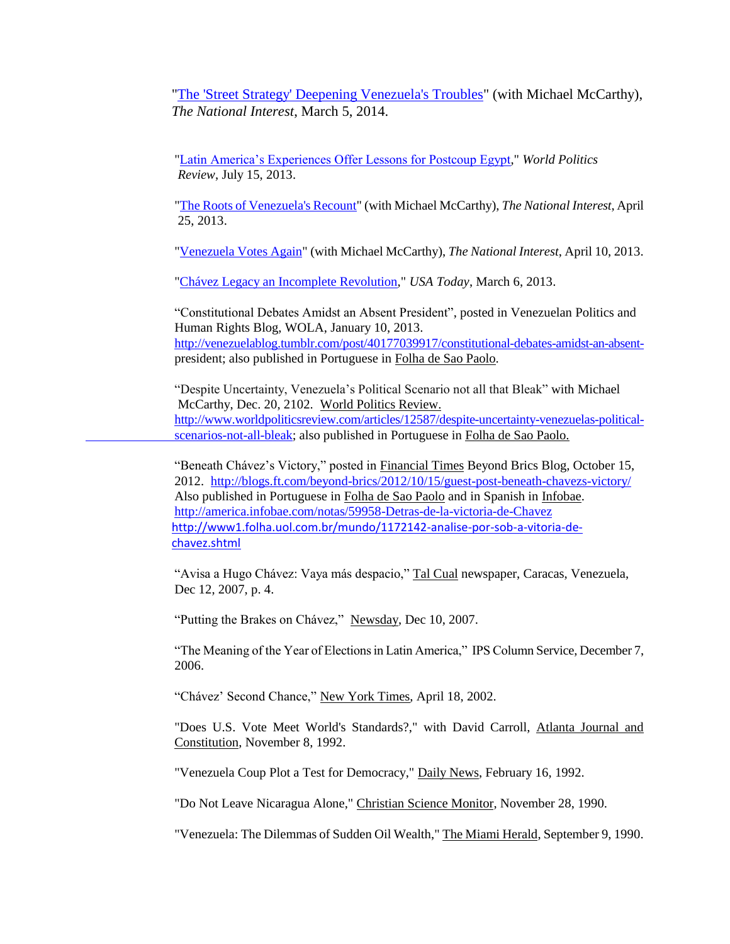["The 'Street Strategy' Deepening Venezuela's Troubles"](http://nationalinterest.org/commentary/the-street-strategy-deepening-venezuelas-troubles-9994) (with Michael McCarthy), *The National Interest*, March 5, 2014.

["Latin America's Experiences Offer Lessons for Postcoup Egypt,](http://www.worldpoliticsreview.com/articles/13089/latin-america-s-experiences-offer-lessons-for-postcoup-egypt)" *World Politics Review*, July 15, 2013.

["The Roots of Venezuela's Recount"](http://nationalinterest.org/commentary/the-roots-venezuelas-recount-8397) (with Michael McCarthy), *The National Interest*, April 25, 2013.

["Venezuela Votes Again"](http://nationalinterest.org/commentary/venezuela-votes-again-8331) (with Michael McCarthy), *The National Interest*, April 10, 2013.

["Chávez Legacy an Incomplete Revolution,](http://www.usatoday.com/story/opinion/2013/03/06/hugo-chavez-legacy-column/1966979/)" *USA Today*, March 6, 2013.

"Constitutional Debates Amidst an Absent President", posted in Venezuelan Politics and Human Rights Blog, WOLA, January 10, 2013. [http://venezuelablog.tumblr.com/post/40177039917/constitutional-debates-amidst-an-absent](http://venezuelablog.tumblr.com/post/40177039917/constitutional-debates-amidst-an-absent-)president; also published in Portuguese in Folha de Sao Paolo.

"Despite Uncertainty, Venezuela's Political Scenario not all that Bleak" with Michael McCarthy, Dec. 20, 2102. World Politics Review. [http://www.worldpoliticsreview.com/articles/12587/despite-uncertainty-venezuelas-political](http://www.worldpoliticsreview.com/articles/12587/despite-uncertainty-venezuelas-political-scenarios-not-all-bleak)[scenarios-not-all-bleak;](http://www.worldpoliticsreview.com/articles/12587/despite-uncertainty-venezuelas-political-scenarios-not-all-bleak) also published in Portuguese in Folha de Sao Paolo.

"Beneath Chávez's Victory," posted in Financial Times Beyond Brics Blog, October 15, 2012. <http://blogs.ft.com/beyond-brics/2012/10/15/guest-post-beneath-chavezs-victory/> Also published in Portuguese in Folha de Sao Paolo and in Spanish in Infobae. <http://america.infobae.com/notas/59958-Detras-de-la-victoria-de-Chavez> [http://www1.folha.uol.com.br/mundo/1172142-analise-por-sob-a-vitoria-de](http://www1.folha.uol.com.br/mundo/1172142-analise-por-sob-a-vitoria-de-chavez.shtml)[chavez.shtml](http://www1.folha.uol.com.br/mundo/1172142-analise-por-sob-a-vitoria-de-chavez.shtml)

"Avisa a Hugo Chávez: Vaya más despacio," Tal Cual newspaper, Caracas, Venezuela, Dec 12, 2007, p. 4.

"Putting the Brakes on Chávez," Newsday, Dec 10, 2007.

"The Meaning of the Year of Elections in Latin America," IPS Column Service, December 7, 2006.

"Chávez' Second Chance," New York Times, April 18, 2002.

"Does U.S. Vote Meet World's Standards?," with David Carroll, Atlanta Journal and Constitution, November 8, 1992.

"Venezuela Coup Plot a Test for Democracy," Daily News, February 16, 1992.

"Do Not Leave Nicaragua Alone," Christian Science Monitor, November 28, 1990.

"Venezuela: The Dilemmas of Sudden Oil Wealth," The Miami Herald, September 9, 1990.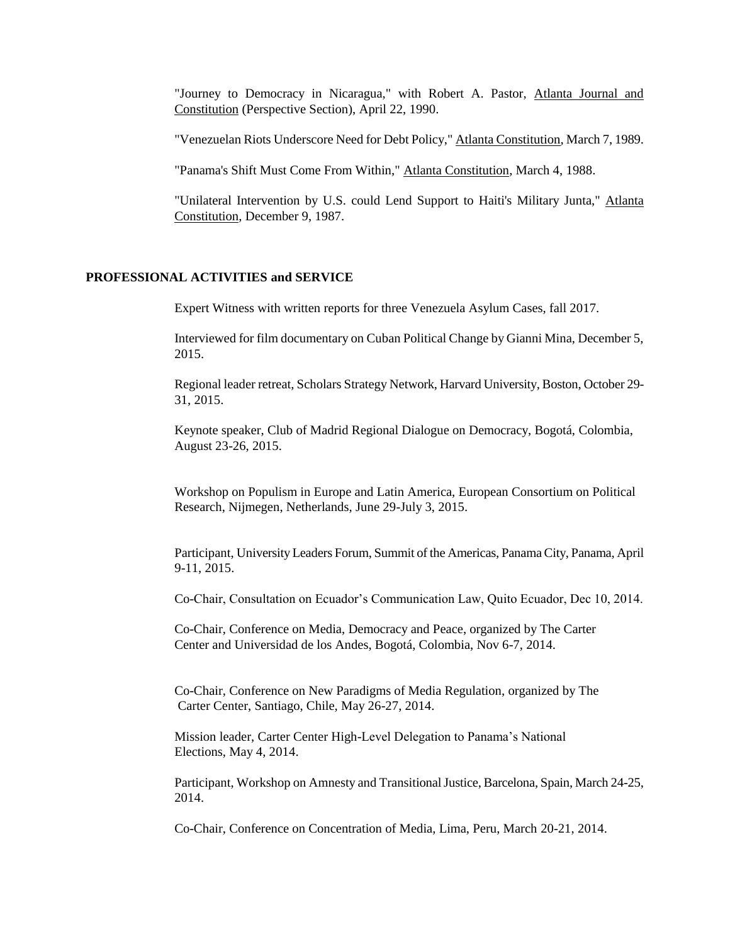"Journey to Democracy in Nicaragua," with Robert A. Pastor, Atlanta Journal and Constitution (Perspective Section), April 22, 1990.

"Venezuelan Riots Underscore Need for Debt Policy," Atlanta Constitution, March 7, 1989.

"Panama's Shift Must Come From Within," Atlanta Constitution, March 4, 1988.

"Unilateral Intervention by U.S. could Lend Support to Haiti's Military Junta," Atlanta Constitution, December 9, 1987.

#### **PROFESSIONAL ACTIVITIES and SERVICE**

Expert Witness with written reports for three Venezuela Asylum Cases, fall 2017.

Interviewed for film documentary on Cuban Political Change by Gianni Mina, December 5, 2015.

Regional leader retreat, Scholars Strategy Network, Harvard University, Boston, October 29- 31, 2015.

Keynote speaker, Club of Madrid Regional Dialogue on Democracy, Bogotá, Colombia, August 23-26, 2015.

Workshop on Populism in Europe and Latin America, European Consortium on Political Research, Nijmegen, Netherlands, June 29-July 3, 2015.

Participant, University Leaders Forum, Summit of the Americas, Panama City, Panama, April 9-11, 2015.

Co-Chair, Consultation on Ecuador's Communication Law, Quito Ecuador, Dec 10, 2014.

Co-Chair, Conference on Media, Democracy and Peace, organized by The Carter Center and Universidad de los Andes, Bogotá, Colombia, Nov 6-7, 2014.

Co-Chair, Conference on New Paradigms of Media Regulation, organized by The Carter Center, Santiago, Chile, May 26-27, 2014.

Mission leader, Carter Center High-Level Delegation to Panama's National Elections, May 4, 2014.

Participant, Workshop on Amnesty and Transitional Justice, Barcelona, Spain, March 24-25, 2014.

Co-Chair, Conference on Concentration of Media, Lima, Peru, March 20-21, 2014.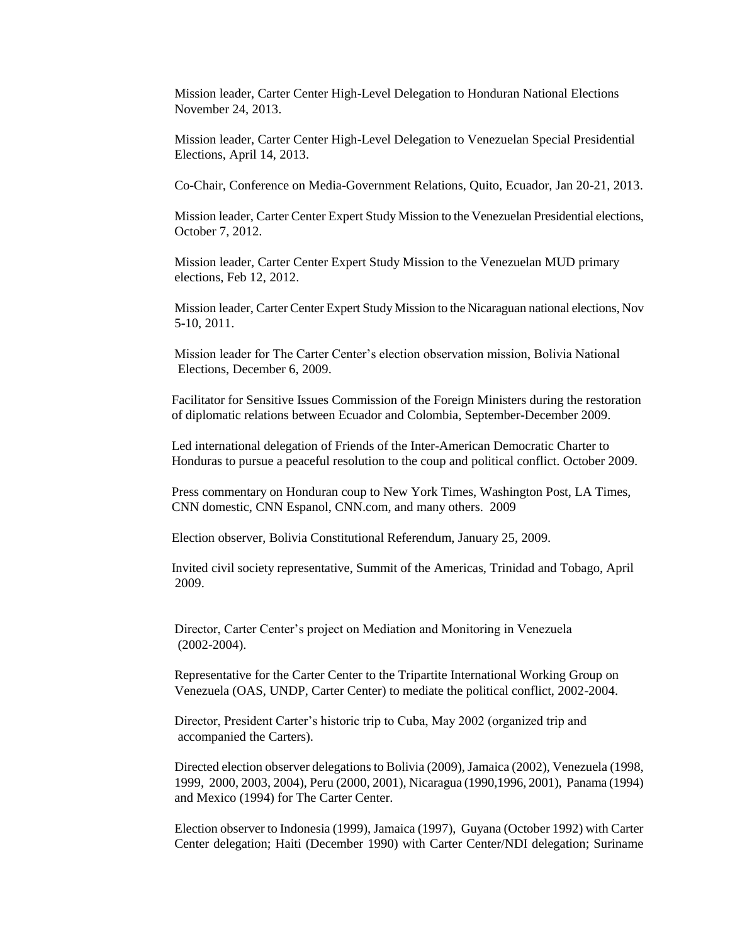Mission leader, Carter Center High-Level Delegation to Honduran National Elections November 24, 2013.

Mission leader, Carter Center High-Level Delegation to Venezuelan Special Presidential Elections, April 14, 2013.

Co-Chair, Conference on Media-Government Relations, Quito, Ecuador, Jan 20-21, 2013.

Mission leader, Carter Center Expert Study Mission to the Venezuelan Presidential elections, October 7, 2012.

Mission leader, Carter Center Expert Study Mission to the Venezuelan MUD primary elections, Feb 12, 2012.

Mission leader, Carter Center Expert Study Mission to the Nicaraguan national elections, Nov 5-10, 2011.

Mission leader for The Carter Center's election observation mission, Bolivia National Elections, December 6, 2009.

Facilitator for Sensitive Issues Commission of the Foreign Ministers during the restoration of diplomatic relations between Ecuador and Colombia, September-December 2009.

Led international delegation of Friends of the Inter-American Democratic Charter to Honduras to pursue a peaceful resolution to the coup and political conflict. October 2009.

Press commentary on Honduran coup to New York Times, Washington Post, LA Times, CNN domestic, CNN Espanol, CNN.com, and many others. 2009

Election observer, Bolivia Constitutional Referendum, January 25, 2009.

Invited civil society representative, Summit of the Americas, Trinidad and Tobago, April 2009.

Director, Carter Center's project on Mediation and Monitoring in Venezuela (2002-2004).

Representative for the Carter Center to the Tripartite International Working Group on Venezuela (OAS, UNDP, Carter Center) to mediate the political conflict, 2002-2004.

Director, President Carter's historic trip to Cuba, May 2002 (organized trip and accompanied the Carters).

Directed election observer delegations to Bolivia (2009), Jamaica (2002), Venezuela (1998, 1999, 2000, 2003, 2004), Peru (2000, 2001), Nicaragua (1990,1996, 2001), Panama (1994) and Mexico (1994) for The Carter Center.

Election observer to Indonesia (1999), Jamaica (1997), Guyana (October 1992) with Carter Center delegation; Haiti (December 1990) with Carter Center/NDI delegation; Suriname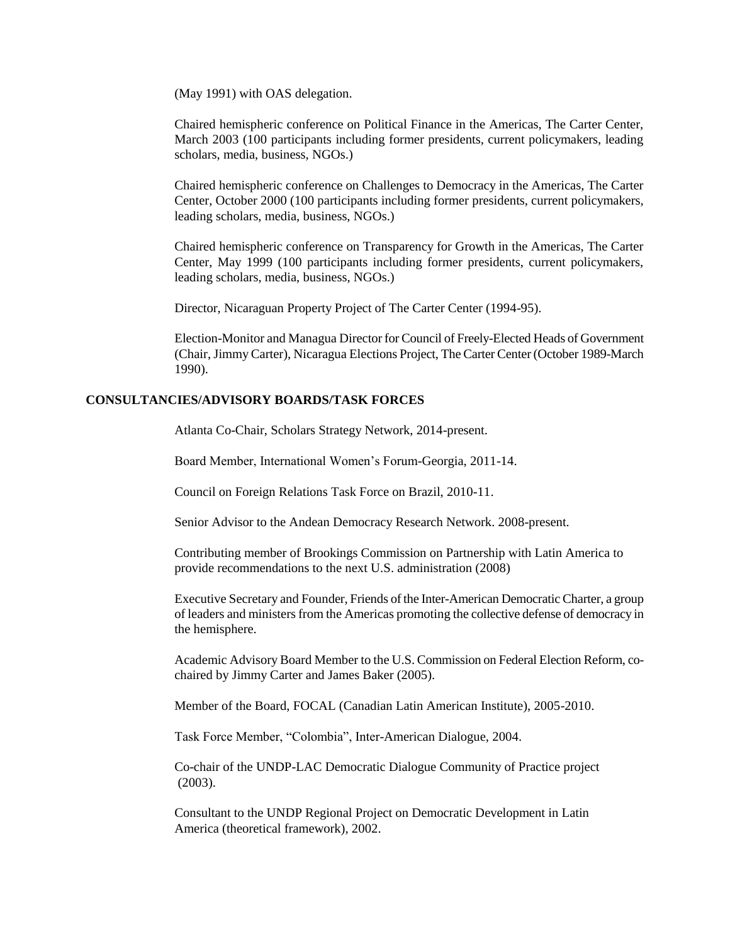(May 1991) with OAS delegation.

Chaired hemispheric conference on Political Finance in the Americas, The Carter Center, March 2003 (100 participants including former presidents, current policymakers, leading scholars, media, business, NGOs.)

Chaired hemispheric conference on Challenges to Democracy in the Americas, The Carter Center, October 2000 (100 participants including former presidents, current policymakers, leading scholars, media, business, NGOs.)

Chaired hemispheric conference on Transparency for Growth in the Americas, The Carter Center, May 1999 (100 participants including former presidents, current policymakers, leading scholars, media, business, NGOs.)

Director, Nicaraguan Property Project of The Carter Center (1994-95).

Election-Monitor and Managua Director for Council of Freely-Elected Heads of Government (Chair, Jimmy Carter), Nicaragua Elections Project, The Carter Center (October 1989-March 1990).

## **CONSULTANCIES/ADVISORY BOARDS/TASK FORCES**

Atlanta Co-Chair, Scholars Strategy Network, 2014-present.

Board Member, International Women's Forum-Georgia, 2011-14.

Council on Foreign Relations Task Force on Brazil, 2010-11.

Senior Advisor to the Andean Democracy Research Network. 2008-present.

Contributing member of Brookings Commission on Partnership with Latin America to provide recommendations to the next U.S. administration (2008)

Executive Secretary and Founder, Friends of the Inter-American Democratic Charter, a group of leaders and ministers from the Americas promoting the collective defense of democracy in the hemisphere.

Academic Advisory Board Member to the U.S. Commission on Federal Election Reform, cochaired by Jimmy Carter and James Baker (2005).

Member of the Board, FOCAL (Canadian Latin American Institute), 2005-2010.

Task Force Member, "Colombia", Inter-American Dialogue, 2004.

Co-chair of the UNDP-LAC Democratic Dialogue Community of Practice project (2003).

Consultant to the UNDP Regional Project on Democratic Development in Latin America (theoretical framework), 2002.